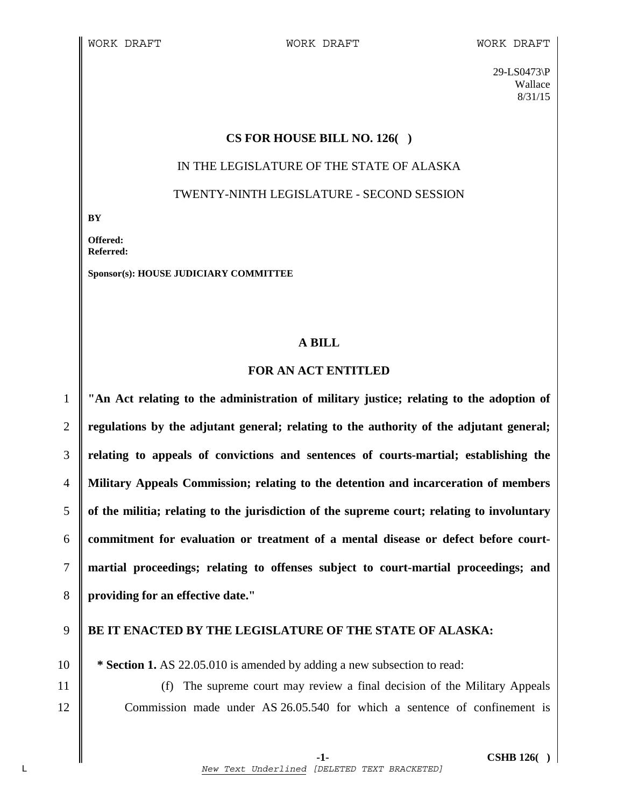29-LS0473\P Wallace 8/31/15

## **CS FOR HOUSE BILL NO. 126( )**

# IN THE LEGISLATURE OF THE STATE OF ALASKA TWENTY-NINTH LEGISLATURE - SECOND SESSION

**BY** 

**Offered: Referred:** 

**Sponsor(s): HOUSE JUDICIARY COMMITTEE** 

## **A BILL**

## **FOR AN ACT ENTITLED**

**"An Act relating to the administration of military justice; relating to the adoption of regulations by the adjutant general; relating to the authority of the adjutant general; relating to appeals of convictions and sentences of courts-martial; establishing the Military Appeals Commission; relating to the detention and incarceration of members of the militia; relating to the jurisdiction of the supreme court; relating to involuntary commitment for evaluation or treatment of a mental disease or defect before court-martial proceedings; relating to offenses subject to court-martial proceedings; and providing for an effective date."** 

## 9 **BE IT ENACTED BY THE LEGISLATURE OF THE STATE OF ALASKA:**

10 **\* Section 1.** AS 22.05.010 is amended by adding a new subsection to read:

11 (f) The supreme court may review a final decision of the Military Appeals 12 Commission made under AS 26.05.540 for which a sentence of confinement is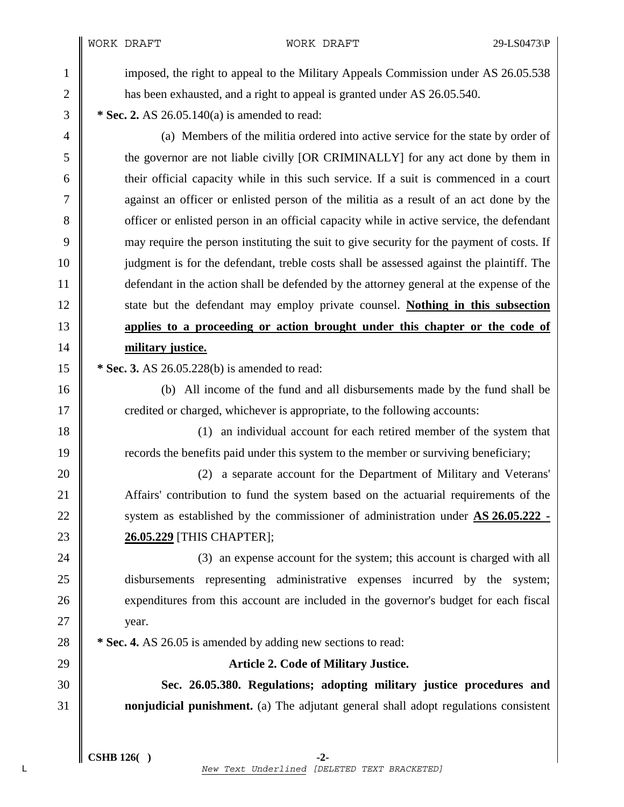WORK DRAFT WORK DRAFT 29-LS0473\P

1 imposed, the right to appeal to the Military Appeals Commission under AS 26.05.538 2 has been exhausted, and a right to appeal is granted under AS 26.05.540.

3 **\* Sec. 2.** AS 26.05.140(a) is amended to read:

4 (a) Members of the militia ordered into active service for the state by order of 5 the governor are not liable civilly [OR CRIMINALLY] for any act done by them in 6 their official capacity while in this such service. If a suit is commenced in a court 7 against an officer or enlisted person of the militia as a result of an act done by the 8 officer or enlisted person in an official capacity while in active service, the defendant 9 may require the person instituting the suit to give security for the payment of costs. If 10 judgment is for the defendant, treble costs shall be assessed against the plaintiff. The 11 defendant in the action shall be defended by the attorney general at the expense of the 12 state but the defendant may employ private counsel. **Nothing in this subsection**  13 **applies to a proceeding or action brought under this chapter or the code of**  14 **military justice.**

15 **\*** Sec. 3. AS 26.05.228(b) is amended to read:

16 (b) All income of the fund and all disbursements made by the fund shall be 17 credited or charged, whichever is appropriate, to the following accounts:

18 (1) an individual account for each retired member of the system that 19 The records the benefits paid under this system to the member or surviving beneficiary;

20 **20** (2) a separate account for the Department of Military and Veterans' 21 Affairs' contribution to fund the system based on the actuarial requirements of the 22 System as established by the commissioner of administration under AS 26.05.222 -23 **26.05.229** [THIS CHAPTER];

24 (3) an expense account for the system; this account is charged with all 25 disbursements representing administrative expenses incurred by the system; 26 expenditures from this account are included in the governor's budget for each fiscal  $27$  | year.

28 **\*** Sec. 4. AS 26.05 is amended by adding new sections to read:

29 **Article 2. Code of Military Justice.**

30 **Sec. 26.05.380. Regulations; adopting military justice procedures and**  31 **nonjudicial punishment.** (a) The adjutant general shall adopt regulations consistent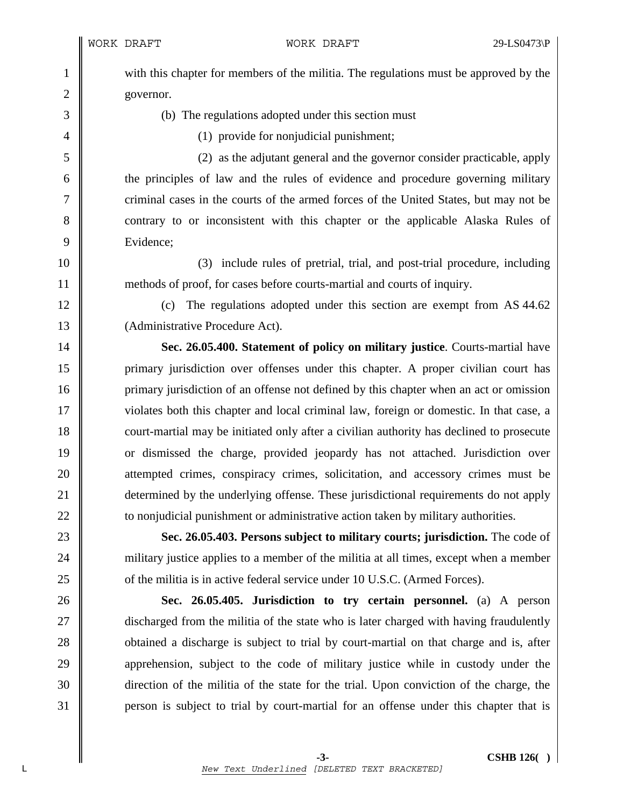1 with this chapter for members of the militia. The regulations must be approved by the 2 governor.

3 (b) The regulations adopted under this section must

4 (1) provide for nonjudicial punishment;

5 (2) as the adjutant general and the governor consider practicable, apply 6 the principles of law and the rules of evidence and procedure governing military 7 criminal cases in the courts of the armed forces of the United States, but may not be 8 contrary to or inconsistent with this chapter or the applicable Alaska Rules of 9 | Evidence:

10 (3) include rules of pretrial, trial, and post-trial procedure, including 11 methods of proof, for cases before courts-martial and courts of inquiry.

12 (c) The regulations adopted under this section are exempt from AS 44.62 13 | (Administrative Procedure Act).

14 **Sec. 26.05.400. Statement of policy on military justice**. Courts-martial have 15 primary jurisdiction over offenses under this chapter. A proper civilian court has 16 primary jurisdiction of an offense not defined by this chapter when an act or omission 17 violates both this chapter and local criminal law, foreign or domestic. In that case, a 18 court-martial may be initiated only after a civilian authority has declined to prosecute 19 or dismissed the charge, provided jeopardy has not attached. Jurisdiction over 20 attempted crimes, conspiracy crimes, solicitation, and accessory crimes must be 21 **determined by the underlying offense.** These jurisdictional requirements do not apply 22 **the leave of the nonjudicial punishment or administrative action taken by military authorities.** 

23 **Sec. 26.05.403. Persons subject to military courts; jurisdiction.** The code of 24 military justice applies to a member of the militia at all times, except when a member 25 **o** of the militia is in active federal service under 10 U.S.C. (Armed Forces).

26 **Sec. 26.05.405. Jurisdiction to try certain personnel.** (a) A person 27 discharged from the militia of the state who is later charged with having fraudulently 28 **obtained a discharge is subject to trial by court-martial on that charge and is, after** 29 apprehension, subject to the code of military justice while in custody under the 30 direction of the militia of the state for the trial. Upon conviction of the charge, the 31 person is subject to trial by court-martial for an offense under this chapter that is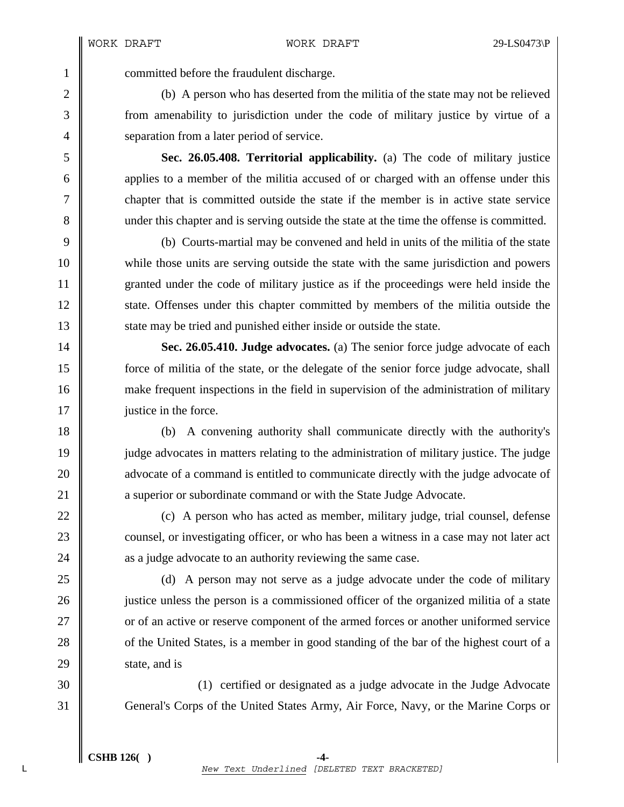1 committed before the fraudulent discharge.

2 (b) A person who has deserted from the militia of the state may not be relieved 3 from amenability to jurisdiction under the code of military justice by virtue of a 4 Separation from a later period of service.

5 **Sec. 26.05.408. Territorial applicability.** (a) The code of military justice 6 applies to a member of the militia accused of or charged with an offense under this 7 chapter that is committed outside the state if the member is in active state service 8 under this chapter and is serving outside the state at the time the offense is committed.

9 (b) Courts-martial may be convened and held in units of the militia of the state 10 while those units are serving outside the state with the same jurisdiction and powers 11 granted under the code of military justice as if the proceedings were held inside the 12 state. Offenses under this chapter committed by members of the militia outside the 13 State may be tried and punished either inside or outside the state.

14 **Sec. 26.05.410. Judge advocates.** (a) The senior force judge advocate of each 15 force of militia of the state, or the delegate of the senior force judge advocate, shall 16 make frequent inspections in the field in supervision of the administration of military 17 | justice in the force.

18 (b) A convening authority shall communicate directly with the authority's 19 judge advocates in matters relating to the administration of military justice. The judge 20 **a** advocate of a command is entitled to communicate directly with the judge advocate of 21 **a** superior or subordinate command or with the State Judge Advocate.

22  $\parallel$  (c) A person who has acted as member, military judge, trial counsel, defense 23 counsel, or investigating officer, or who has been a witness in a case may not later act 24 **a** a judge advocate to an authority reviewing the same case.

25 (d) A person may not serve as a judge advocate under the code of military 26 **justice unless the person is a commissioned officer of the organized militia of a state** 27 **or** of an active or reserve component of the armed forces or another uniformed service 28 of the United States, is a member in good standing of the bar of the highest court of a  $29$  state, and is

30 (1) certified or designated as a judge advocate in the Judge Advocate 31 General's Corps of the United States Army, Air Force, Navy, or the Marine Corps or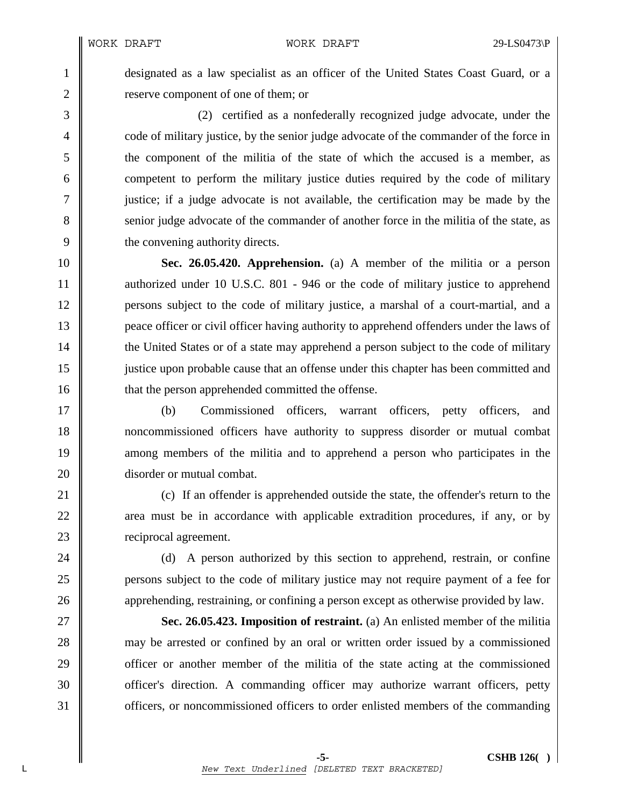1 designated as a law specialist as an officer of the United States Coast Guard, or a 2 **lack** reserve component of one of them; or

3 (2) certified as a nonfederally recognized judge advocate, under the 4 code of military justice, by the senior judge advocate of the commander of the force in 5 the component of the militia of the state of which the accused is a member, as 6 competent to perform the military justice duties required by the code of military 7 justice; if a judge advocate is not available, the certification may be made by the 8 senior judge advocate of the commander of another force in the militia of the state, as 9 the convening authority directs.

10 **Sec. 26.05.420. Apprehension.** (a) A member of the militia or a person 11 authorized under 10 U.S.C. 801 - 946 or the code of military justice to apprehend 12 persons subject to the code of military justice, a marshal of a court-martial, and a 13 peace officer or civil officer having authority to apprehend offenders under the laws of 14 the United States or of a state may apprehend a person subject to the code of military 15 justice upon probable cause that an offense under this chapter has been committed and 16 **that the person apprehended committed the offense.** 

17 (b) Commissioned officers, warrant officers, petty officers, and 18 noncommissioned officers have authority to suppress disorder or mutual combat 19 mmong members of the militia and to apprehend a person who participates in the 20 **disorder or mutual combat.** 

21 **c**) If an offender is apprehended outside the state, the offender's return to the 22 area must be in accordance with applicable extradition procedures, if any, or by 23 **Parameter** reciprocal agreement.

24 (d) A person authorized by this section to apprehend, restrain, or confine 25 persons subject to the code of military justice may not require payment of a fee for 26 **a** apprehending, restraining, or confining a person except as otherwise provided by law.

**Sec. 26.05.423. Imposition of restraint.** (a) An enlisted member of the militia 28 may be arrested or confined by an oral or written order issued by a commissioned **officer or another member of the militia of the state acting at the commissioned officer's direction.** A commanding officer may authorize warrant officers, petty **officers**, or noncommissioned officers to order enlisted members of the commanding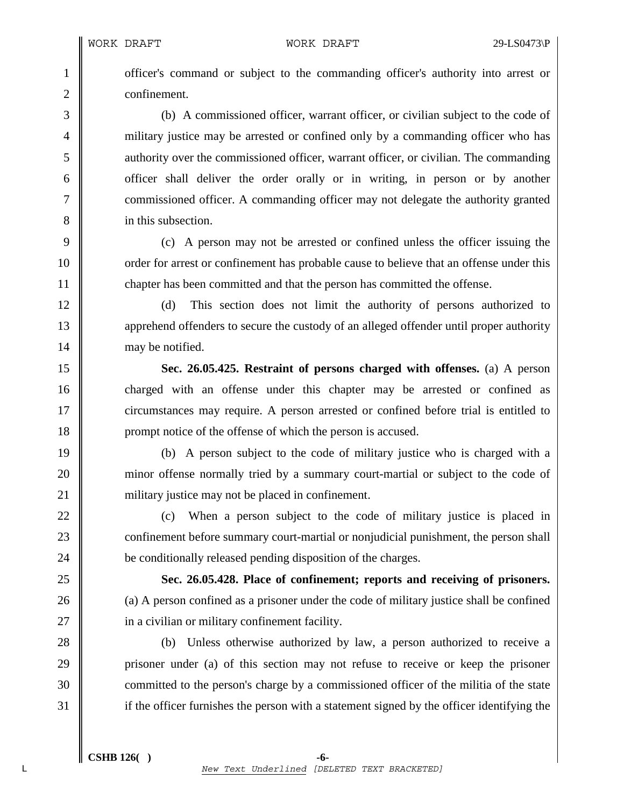1 officer's command or subject to the commanding officer's authority into arrest or 2 **confirement.** 

3 (b) A commissioned officer, warrant officer, or civilian subject to the code of 4 military justice may be arrested or confined only by a commanding officer who has 5 authority over the commissioned officer, warrant officer, or civilian. The commanding 6 officer shall deliver the order orally or in writing, in person or by another 7 Commissioned officer. A commanding officer may not delegate the authority granted 8 in this subsection.

9 (c) A person may not be arrested or confined unless the officer issuing the 10 corder for arrest or confinement has probable cause to believe that an offense under this 11 chapter has been committed and that the person has committed the offense.

12 (d) This section does not limit the authority of persons authorized to 13 apprehend offenders to secure the custody of an alleged offender until proper authority 14 may be notified.

15 **Sec. 26.05.425. Restraint of persons charged with offenses.** (a) A person 16 charged with an offense under this chapter may be arrested or confined as 17 circumstances may require. A person arrested or confined before trial is entitled to 18 **prompt notice of the offense of which the person is accused.** 

19 (b) A person subject to the code of military justice who is charged with a 20 minor offense normally tried by a summary court-martial or subject to the code of 21 | military justice may not be placed in confinement.

22 (c) When a person subject to the code of military justice is placed in 23 confinement before summary court-martial or nonjudicial punishment, the person shall 24 **be conditionally released pending disposition of the charges.** 

25 **Sec. 26.05.428. Place of confinement; reports and receiving of prisoners.**  26 (a) A person confined as a prisoner under the code of military justice shall be confined 27 **i** in a civilian or military confinement facility.

28 (b) Unless otherwise authorized by law, a person authorized to receive a 29 prisoner under (a) of this section may not refuse to receive or keep the prisoner 30 committed to the person's charge by a commissioned officer of the militia of the state 31 if the officer furnishes the person with a statement signed by the officer identifying the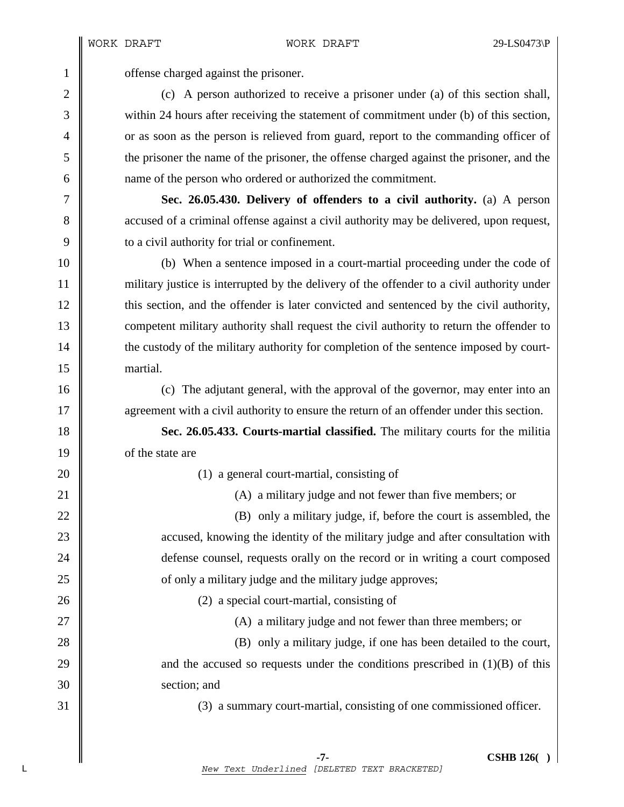1 **offense** charged against the prisoner.

2 (c) A person authorized to receive a prisoner under (a) of this section shall, 3 within 24 hours after receiving the statement of commitment under (b) of this section, 4 or as soon as the person is relieved from guard, report to the commanding officer of 5 the prisoner the name of the prisoner, the offense charged against the prisoner, and the 6 | name of the person who ordered or authorized the commitment.

7 **Sec. 26.05.430. Delivery of offenders to a civil authority.** (a) A person 8 accused of a criminal offense against a civil authority may be delivered, upon request, 9 **b** to a civil authority for trial or confinement.

10 (b) When a sentence imposed in a court-martial proceeding under the code of 11 military justice is interrupted by the delivery of the offender to a civil authority under 12 this section, and the offender is later convicted and sentenced by the civil authority, 13 competent military authority shall request the civil authority to return the offender to 14 the custody of the military authority for completion of the sentence imposed by court-15 martial.

16 (c) The adjutant general, with the approval of the governor, may enter into an 17 **a** agreement with a civil authority to ensure the return of an offender under this section.

18 **Sec. 26.05.433. Courts-martial classified.** The military courts for the militia 19 of the state are

20 || (1) a general court-martial, consisting of

21 **(A)** a military judge and not fewer than five members; or

 $\parallel$  (B) only a military judge, if, before the court is assembled, the **accused, knowing the identity of the military judge and after consultation with defense counsel, requests orally on the record or in writing a court composed o** 25 of only a military judge and the military judge approves;

26 (2) a special court-martial, consisting of

27  $\parallel$ 

28 (B) only a military judge, if one has been detailed to the court, 29  $\parallel$  and the accused so requests under the conditions prescribed in (1)(B) of this 30 Section; and

31 (3) a summary court-martial, consisting of one commissioned officer.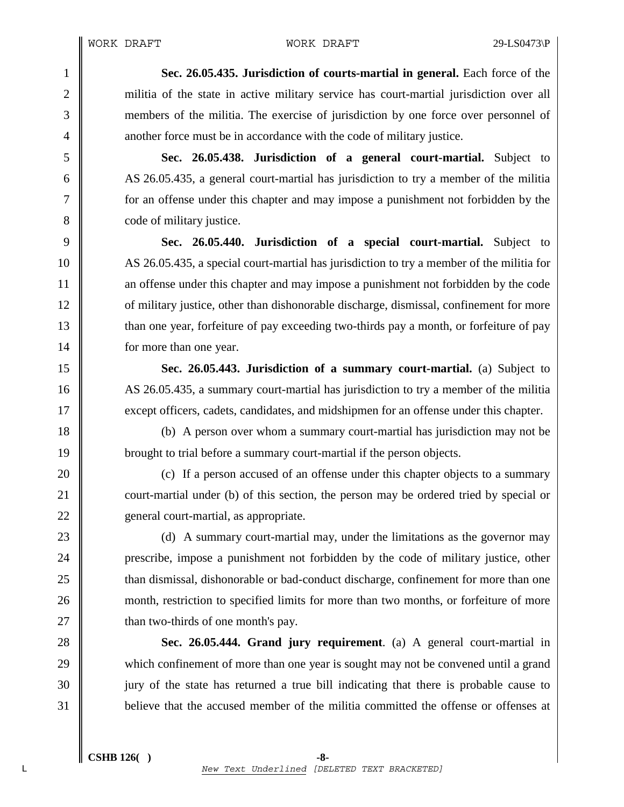1 **Sec. 26.05.435. Jurisdiction of courts-martial in general.** Each force of the 2 militia of the state in active military service has court-martial jurisdiction over all 3 members of the militia. The exercise of jurisdiction by one force over personnel of 4 another force must be in accordance with the code of military justice.

5 **Sec. 26.05.438. Jurisdiction of a general court-martial.** Subject to 6 AS 26.05.435, a general court-martial has jurisdiction to try a member of the militia 7 for an offense under this chapter and may impose a punishment not forbidden by the 8 code of military justice.

**Sec. 26.05.440. Jurisdiction of a special court-martial.** Subject to 10 AS 26.05.435, a special court-martial has jurisdiction to try a member of the militia for **a** an offense under this chapter and may impose a punishment not forbidden by the code **ordinary in** of military justice, other than dishonorable discharge, dismissal, confinement for more 13 than one year, forfeiture of pay exceeding two-thirds pay a month, or forfeiture of pay **for more than one year.** 

15 **Sec. 26.05.443. Jurisdiction of a summary court-martial.** (a) Subject to 16 AS 26.05.435, a summary court-martial has jurisdiction to try a member of the militia 17 except officers, cadets, candidates, and midshipmen for an offense under this chapter.

18 (b) A person over whom a summary court-martial has jurisdiction may not be 19 brought to trial before a summary court-martial if the person objects.

20 **(c)** If a person accused of an offense under this chapter objects to a summary 21 court-martial under (b) of this section, the person may be ordered tried by special or 22 eeneral court-martial, as appropriate.

23 (d) A summary court-martial may, under the limitations as the governor may 24 **prescribe, impose a punishment not forbidden by the code of military justice, other** 25 **than dismissal, dishonorable or bad-conduct discharge, confinement for more than one** 26 month, restriction to specified limits for more than two months, or forfeiture of more 27  $\parallel$  than two-thirds of one month's pay.

28 **Sec. 26.05.444. Grand jury requirement**. (a) A general court-martial in 29 which confinement of more than one year is sought may not be convened until a grand 30 jury of the state has returned a true bill indicating that there is probable cause to 31 believe that the accused member of the militia committed the offense or offenses at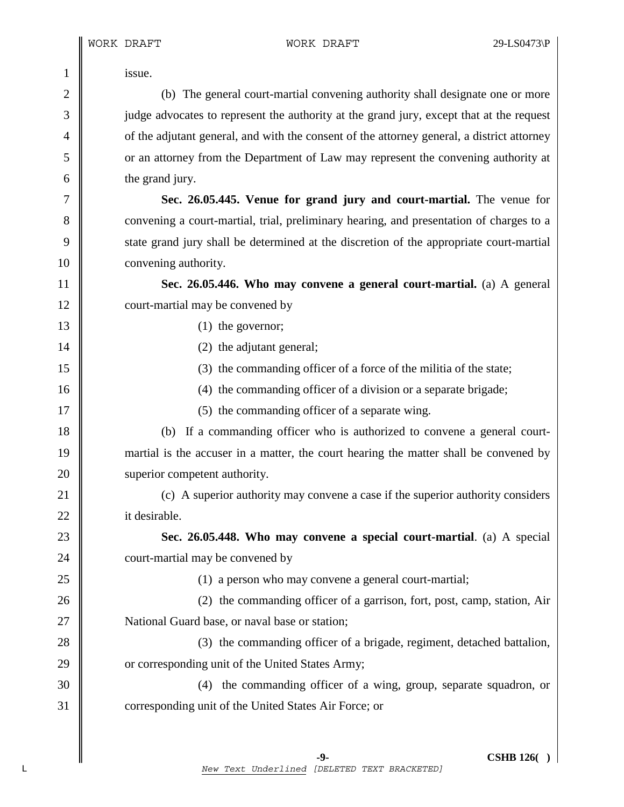1 **issue.** 2 (b) The general court-martial convening authority shall designate one or more 3 judge advocates to represent the authority at the grand jury, except that at the request <sup>4</sup> of the adjutant general, and with the consent of the attorney general, a district attorney 5 or an attorney from the Department of Law may represent the convening authority at 6 the grand jury. 7 **Sec. 26.05.445. Venue for grand jury and court-martial.** The venue for 8 convening a court-martial, trial, preliminary hearing, and presentation of charges to a 9 state grand jury shall be determined at the discretion of the appropriate court-martial 10 **convening authority.** 11 **Sec. 26.05.446. Who may convene a general court-martial.** (a) A general 12 court-martial may be convened by 13 (1) the governor; 14 || (2) the adjutant general; 15 (3) the commanding officer of a force of the militia of the state; 16 (4) the commanding officer of a division or a separate brigade; 17 || (5) the commanding officer of a separate wing. 18 (b) If a commanding officer who is authorized to convene a general court-19 martial is the accuser in a matter, the court hearing the matter shall be convened by 20 **superior competent authority.** 21 (c) A superior authority may convene a case if the superior authority considers 22 **i**t desirable. 23 **Sec. 26.05.448. Who may convene a special court-martial**. (a) A special 24 court-martial may be convened by 25 (1) a person who may convene a general court-martial; 26 (2) the commanding officer of a garrison, fort, post, camp, station, Air 27 | National Guard base, or naval base or station; 28 (3) the commanding officer of a brigade, regiment, detached battalion, 29 **or** corresponding unit of the United States Army; 30 (4) the commanding officer of a wing, group, separate squadron, or 31 Corresponding unit of the United States Air Force; or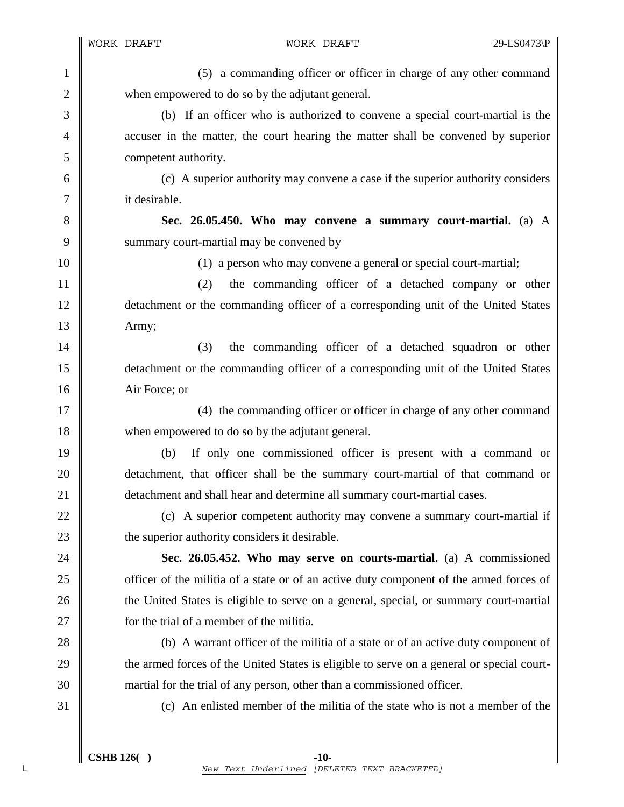1 (5) a commanding officer or officer in charge of any other command 2 when empowered to do so by the adjutant general. 3 (b) If an officer who is authorized to convene a special court-martial is the 4 accuser in the matter, the court hearing the matter shall be convened by superior 5 competent authority. 6 (c) A superior authority may convene a case if the superior authority considers 7 it desirable. 8 **Sec. 26.05.450. Who may convene a summary court-martial.** (a) A 9 Summary court-martial may be convened by 10 (1) a person who may convene a general or special court-martial; 11 (2) the commanding officer of a detached company or other 12 detachment or the commanding officer of a corresponding unit of the United States 13 | Army; 14 || (3) the commanding officer of a detached squadron or other 15 detachment or the commanding officer of a corresponding unit of the United States 16 Air Force; or 17 || (4) the commanding officer or officer in charge of any other command 18 when empowered to do so by the adjutant general. 19 (b) If only one commissioned officer is present with a command or 20 detachment, that officer shall be the summary court-martial of that command or 21 **detachment and shall hear and determine all summary court-martial cases.** 22  $\parallel$  (c) A superior competent authority may convene a summary court-martial if 23  $\parallel$  the superior authority considers it desirable. 24 **Sec. 26.05.452. Who may serve on courts-martial.** (a) A commissioned 25 **officer of the militia of a state or of an active duty component of the armed forces of** 26 the United States is eligible to serve on a general, special, or summary court-martial 27 **for the trial of a member of the militia.** 28 (b) A warrant officer of the militia of a state or of an active duty component of 29 the armed forces of the United States is eligible to serve on a general or special court-30 martial for the trial of any person, other than a commissioned officer. 31 (c) An enlisted member of the militia of the state who is not a member of the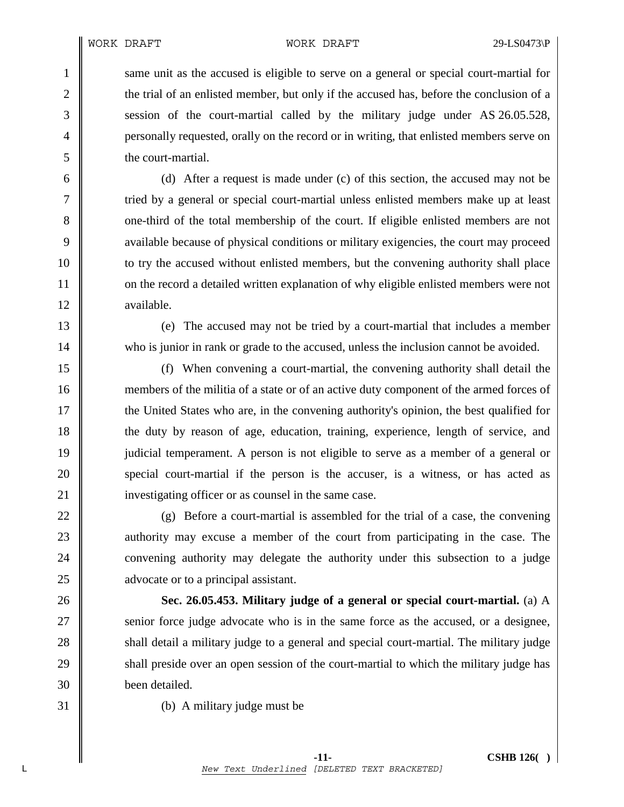1 same unit as the accused is eligible to serve on a general or special court-martial for 2 the trial of an enlisted member, but only if the accused has, before the conclusion of a 3 Session of the court-martial called by the military judge under AS 26.05.528, <sup>4</sup> personally requested, orally on the record or in writing, that enlisted members serve on 5 the court-martial.

6 (d) After a request is made under (c) of this section, the accused may not be 7 T tried by a general or special court-martial unless enlisted members make up at least 8 one-third of the total membership of the court. If eligible enlisted members are not 9 available because of physical conditions or military exigencies, the court may proceed 10 to try the accused without enlisted members, but the convening authority shall place 11 on the record a detailed written explanation of why eligible enlisted members were not 12 available.

13 (e) The accused may not be tried by a court-martial that includes a member 14 who is junior in rank or grade to the accused, unless the inclusion cannot be avoided.

15 (f) When convening a court-martial, the convening authority shall detail the 16 members of the militia of a state or of an active duty component of the armed forces of 17 the United States who are, in the convening authority's opinion, the best qualified for 18 the duty by reason of age, education, training, experience, length of service, and 19 judicial temperament. A person is not eligible to serve as a member of a general or 20 special court-martial if the person is the accuser, is a witness, or has acted as 21 | investigating officer or as counsel in the same case.

22  $\parallel$  (g) Before a court-martial is assembled for the trial of a case, the convening 23 authority may excuse a member of the court from participating in the case. The 24 convening authority may delegate the authority under this subsection to a judge 25 **a** advocate or to a principal assistant.

26 **Sec. 26.05.453. Military judge of a general or special court-martial.** (a) A 27 Senior force judge advocate who is in the same force as the accused, or a designee, 28 shall detail a military judge to a general and special court-martial. The military judge 29 shall preside over an open session of the court-martial to which the military judge has 30 been detailed.

31 (b) A military judge must be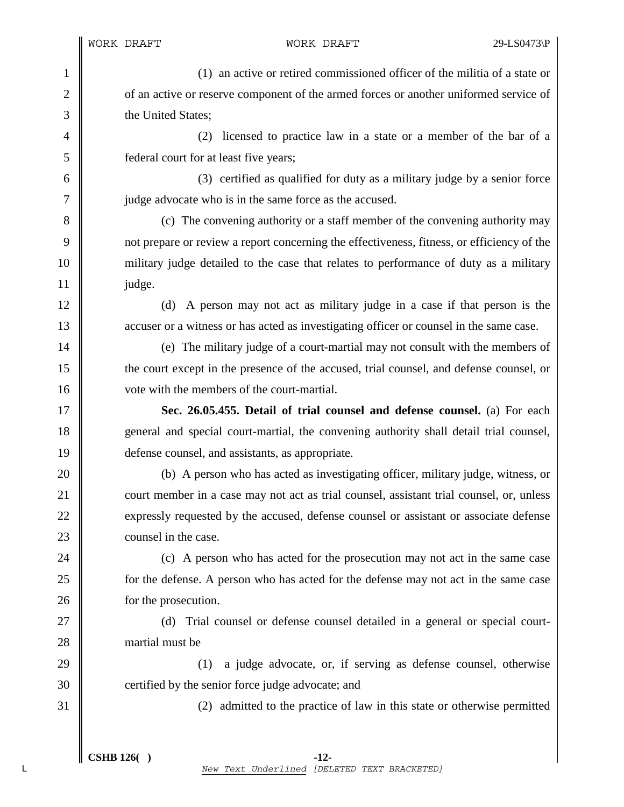1 (1) an active or retired commissioned officer of the militia of a state or 2 of an active or reserve component of the armed forces or another uniformed service of 3 **h** the United States:

4 (2) licensed to practice law in a state or a member of the bar of a 5 federal court for at least five years;

6 (3) certified as qualified for duty as a military judge by a senior force 7 || judge advocate who is in the same force as the accused.

8 (c) The convening authority or a staff member of the convening authority may 9 not prepare or review a report concerning the effectiveness, fitness, or efficiency of the 10 military judge detailed to the case that relates to performance of duty as a military  $11$  | judge.

12 (d) A person may not act as military judge in a case if that person is the 13 **accuser or a witness or has acted as investigating officer or counsel in the same case.** 

14 (e) The military judge of a court-martial may not consult with the members of 15 the court except in the presence of the accused, trial counsel, and defense counsel, or 16 vote with the members of the court-martial.

17 **Sec. 26.05.455. Detail of trial counsel and defense counsel.** (a) For each 18 general and special court-martial, the convening authority shall detail trial counsel, 19 defense counsel, and assistants, as appropriate.

20 (b) A person who has acted as investigating officer, military judge, witness, or 21 court member in a case may not act as trial counsel, assistant trial counsel, or, unless 22 expressly requested by the accused, defense counsel or assistant or associate defense 23 **counsel in the case.** 

24 (c) A person who has acted for the prosecution may not act in the same case 25 **for the defense.** A person who has acted for the defense may not act in the same case 26 **for the prosecution.** 

27 || (d) Trial counsel or defense counsel detailed in a general or special court-28 **martial must be** 

29 (1) a judge advocate, or, if serving as defense counsel, otherwise 30 certified by the senior force judge advocate; and

31 (2) admitted to the practice of law in this state or otherwise permitted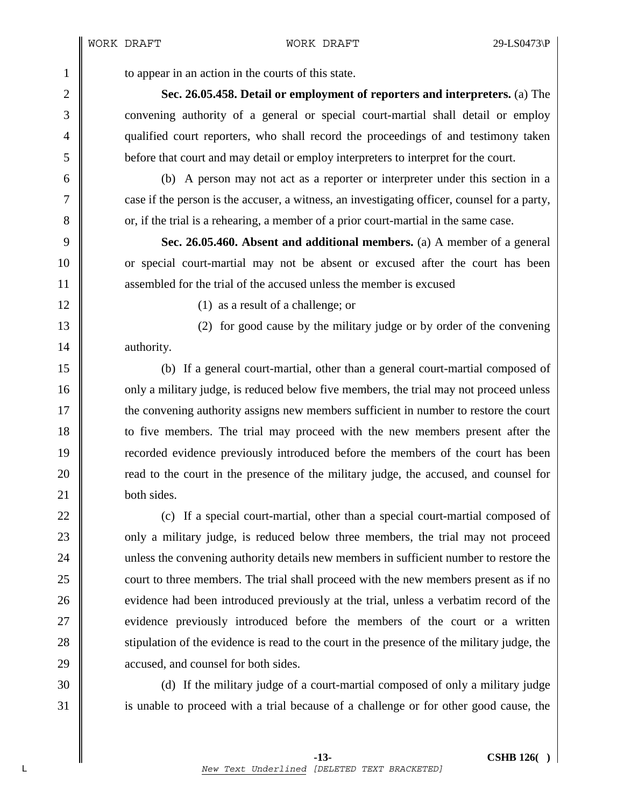1 to appear in an action in the courts of this state.

2 **Sec. 26.05.458. Detail or employment of reporters and interpreters.** (a) The 3 convening authority of a general or special court-martial shall detail or employ 4 qualified court reporters, who shall record the proceedings of and testimony taken 5 before that court and may detail or employ interpreters to interpret for the court.

6 (b) A person may not act as a reporter or interpreter under this section in a 7 case if the person is the accuser, a witness, an investigating officer, counsel for a party, 8 or, if the trial is a rehearing, a member of a prior court-martial in the same case.

9 **Sec. 26.05.460. Absent and additional members.** (a) A member of a general 10 or special court-martial may not be absent or excused after the court has been 11 **a** assembled for the trial of the accused unless the member is excused

12 (1) as a result of a challenge; or

13 (2) for good cause by the military judge or by order of the convening 14 authority.

15 (b) If a general court-martial, other than a general court-martial composed of 16 only a military judge, is reduced below five members, the trial may not proceed unless 17 the convening authority assigns new members sufficient in number to restore the court 18 to five members. The trial may proceed with the new members present after the 19 recorded evidence previously introduced before the members of the court has been 20 **read to the court in the presence of the military judge, the accused, and counsel for** 21 **both sides**.

22  $\parallel$  (c) If a special court-martial, other than a special court-martial composed of 23 **only** a military judge, is reduced below three members, the trial may not proceed 24 unless the convening authority details new members in sufficient number to restore the 25 court to three members. The trial shall proceed with the new members present as if no 26 evidence had been introduced previously at the trial, unless a verbatim record of the 27 wevidence previously introduced before the members of the court or a written 28 stipulation of the evidence is read to the court in the presence of the military judge, the 29 **a**ccused, and counsel for both sides.

30 (d) If the military judge of a court-martial composed of only a military judge 31 is unable to proceed with a trial because of a challenge or for other good cause, the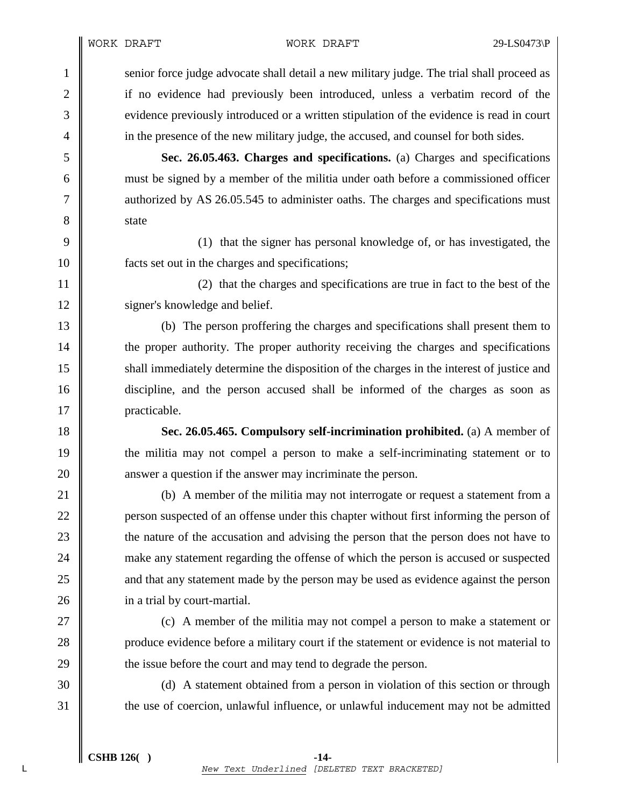WORK DRAFT WORK DRAFT 29-LS0473\P

1 senior force judge advocate shall detail a new military judge. The trial shall proceed as 2 if no evidence had previously been introduced, unless a verbatim record of the 3 evidence previously introduced or a written stipulation of the evidence is read in court 4 in the presence of the new military judge, the accused, and counsel for both sides.

5 **Sec. 26.05.463. Charges and specifications.** (a) Charges and specifications 6 must be signed by a member of the militia under oath before a commissioned officer 7 authorized by AS 26.05.545 to administer oaths. The charges and specifications must 8 state

9 (1) that the signer has personal knowledge of, or has investigated, the 10 facts set out in the charges and specifications;

11 (2) that the charges and specifications are true in fact to the best of the 12 | signer's knowledge and belief.

13 (b) The person proffering the charges and specifications shall present them to 14 the proper authority. The proper authority receiving the charges and specifications 15 shall immediately determine the disposition of the charges in the interest of justice and 16 discipline, and the person accused shall be informed of the charges as soon as 17 | practicable.

18 **Sec. 26.05.465. Compulsory self-incrimination prohibited.** (a) A member of 19 the militia may not compel a person to make a self-incriminating statement or to 20 **a** answer a question if the answer may incriminate the person.

21 (b) A member of the militia may not interrogate or request a statement from a 22 **person suspected of an offense under this chapter without first informing the person of** 23 the nature of the accusation and advising the person that the person does not have to 24 make any statement regarding the offense of which the person is accused or suspected 25 and that any statement made by the person may be used as evidence against the person 26 **i** in a trial by court-martial.

27 (c) A member of the militia may not compel a person to make a statement or 28 produce evidence before a military court if the statement or evidence is not material to 29 **the issue before the court and may tend to degrade the person.** 

30 (d) A statement obtained from a person in violation of this section or through 31 the use of coercion, unlawful influence, or unlawful inducement may not be admitted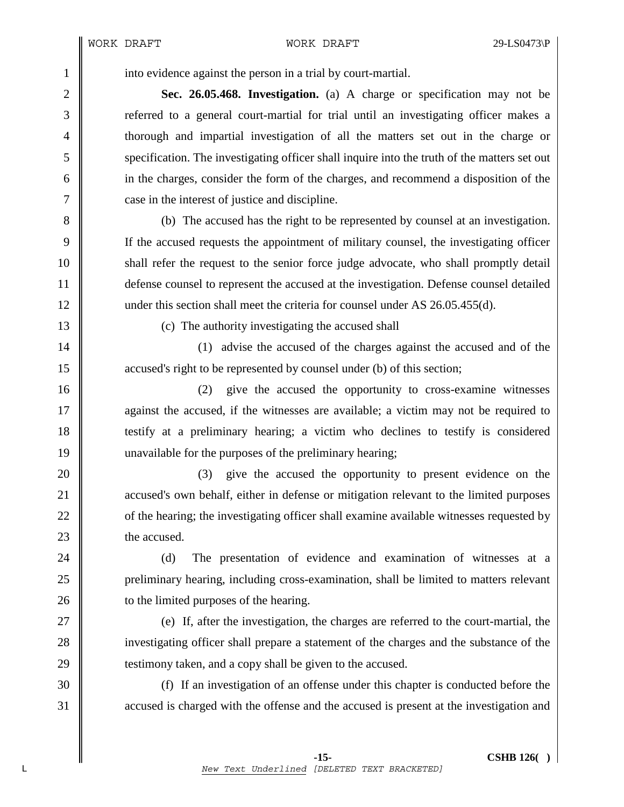## WORK DRAFT WORK DRAFT 29-LS0473\P

1 into evidence against the person in a trial by court-martial.

2 **Sec. 26.05.468. Investigation.** (a) A charge or specification may not be 3 referred to a general court-martial for trial until an investigating officer makes a 4 thorough and impartial investigation of all the matters set out in the charge or 5 specification. The investigating officer shall inquire into the truth of the matters set out 6 in the charges, consider the form of the charges, and recommend a disposition of the 7 || case in the interest of justice and discipline.

8 (b) The accused has the right to be represented by counsel at an investigation. 9 If the accused requests the appointment of military counsel, the investigating officer 10 shall refer the request to the senior force judge advocate, who shall promptly detail 11 defense counsel to represent the accused at the investigation. Defense counsel detailed 12 under this section shall meet the criteria for counsel under AS 26.05.455(d).

13 (c) The authority investigating the accused shall

14 || (1) advise the accused of the charges against the accused and of the 15 **accused's right to be represented by counsel under (b)** of this section;

16 (2) give the accused the opportunity to cross-examine witnesses 17 against the accused, if the witnesses are available; a victim may not be required to 18 testify at a preliminary hearing; a victim who declines to testify is considered 19 unavailable for the purposes of the preliminary hearing;

20 || (3) give the accused the opportunity to present evidence on the 21 **accused's own behalf, either in defense or mitigation relevant to the limited purposes** 22 of the hearing; the investigating officer shall examine available witnesses requested by 23 **h** the accused.

24 (d) The presentation of evidence and examination of witnesses at a 25 preliminary hearing, including cross-examination, shall be limited to matters relevant 26 **the limited purposes of the hearing.** 

 $27 \parallel$  (e) If, after the investigation, the charges are referred to the court-martial, the 28 investigating officer shall prepare a statement of the charges and the substance of the 29 **testimony taken, and a copy shall be given to the accused.** 

30 (f) If an investigation of an offense under this chapter is conducted before the 31 accused is charged with the offense and the accused is present at the investigation and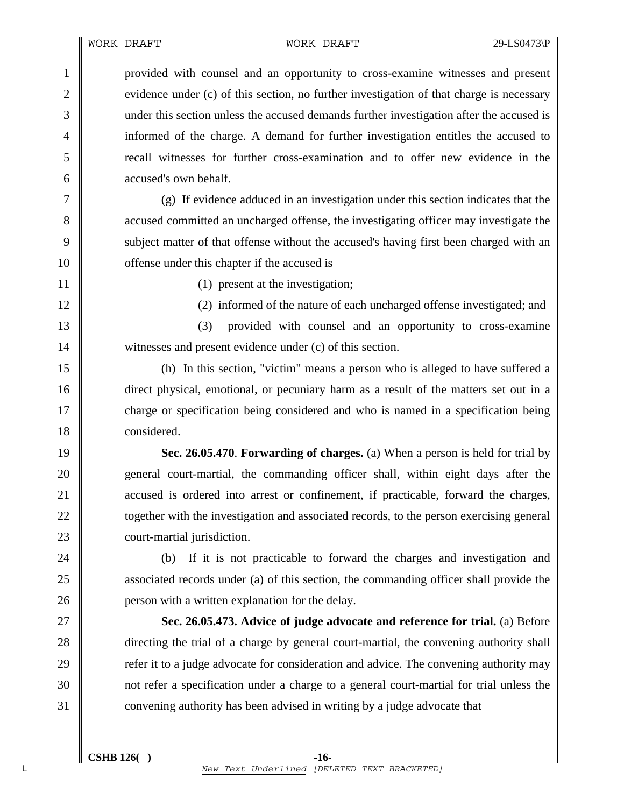1 provided with counsel and an opportunity to cross-examine witnesses and present 2 evidence under (c) of this section, no further investigation of that charge is necessary 3 under this section unless the accused demands further investigation after the accused is 4 informed of the charge. A demand for further investigation entitles the accused to 5 recall witnesses for further cross-examination and to offer new evidence in the 6 **accused's own behalf.** 

7 (g) If evidence adduced in an investigation under this section indicates that the 8 accused committed an uncharged offense, the investigating officer may investigate the 9 Subject matter of that offense without the accused's having first been charged with an 10 **offense** under this chapter if the accused is

11 || (1) present at the investigation;

12 || (2) informed of the nature of each uncharged offense investigated; and

13 || (3) provided with counsel and an opportunity to cross-examine 14 witnesses and present evidence under (c) of this section.

15 (h) In this section, "victim" means a person who is alleged to have suffered a 16 direct physical, emotional, or pecuniary harm as a result of the matters set out in a 17 charge or specification being considered and who is named in a specification being 18 considered.

**Sec. 26.05.470**. **Forwarding of charges.** (a) When a person is held for trial by 20 general court-martial, the commanding officer shall, within eight days after the **accused is ordered into arrest or confinement, if practicable, forward the charges, together with the investigation and associated records, to the person exercising general court-martial jurisdiction.** 

24 (b) If it is not practicable to forward the charges and investigation and 25 associated records under (a) of this section, the commanding officer shall provide the 26 **person with a written explanation for the delay.** 

27 **Sec. 26.05.473. Advice of judge advocate and reference for trial.** (a) Before 28 directing the trial of a charge by general court-martial, the convening authority shall 29  $\parallel$  refer it to a judge advocate for consideration and advice. The convening authority may 30 not refer a specification under a charge to a general court-martial for trial unless the 31 convening authority has been advised in writing by a judge advocate that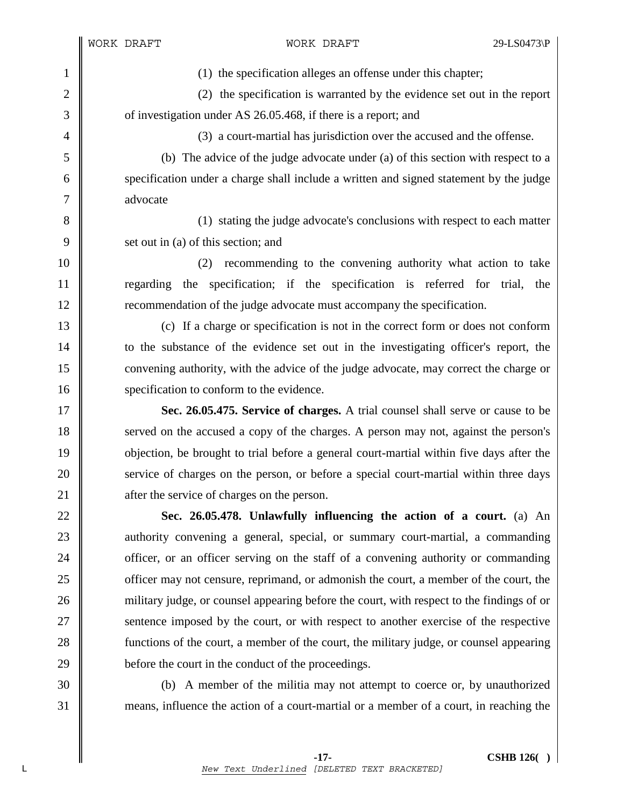1 (1) the specification alleges an offense under this chapter;

2 (2) the specification is warranted by the evidence set out in the report 3 of investigation under AS 26.05.468, if there is a report; and

4 || (3) a court-martial has jurisdiction over the accused and the offense.

5 (b) The advice of the judge advocate under (a) of this section with respect to a 6 specification under a charge shall include a written and signed statement by the judge 7 advocate

8 (1) stating the judge advocate's conclusions with respect to each matter 9  $\parallel$  set out in (a) of this section; and

10 (2) recommending to the convening authority what action to take 11 regarding the specification; if the specification is referred for trial, the 12 **Figure 2.1** recommendation of the judge advocate must accompany the specification.

13 (c) If a charge or specification is not in the correct form or does not conform 14 \| to the substance of the evidence set out in the investigating officer's report, the 15 convening authority, with the advice of the judge advocate, may correct the charge or 16 specification to conform to the evidence.

17 **Sec. 26.05.475. Service of charges.** A trial counsel shall serve or cause to be 18 served on the accused a copy of the charges. A person may not, against the person's 19 objection, be brought to trial before a general court-martial within five days after the 20 service of charges on the person, or before a special court-martial within three days 21 **a** after the service of charges on the person.

22 **Sec. 26.05.478. Unlawfully influencing the action of a court.** (a) An 23 authority convening a general, special, or summary court-martial, a commanding 24 officer, or an officer serving on the staff of a convening authority or commanding 25 **officer may not censure, reprimand, or admonish the court, a member of the court, the** 26 military judge, or counsel appearing before the court, with respect to the findings of or 27 Sentence imposed by the court, or with respect to another exercise of the respective 28 functions of the court, a member of the court, the military judge, or counsel appearing 29 before the court in the conduct of the proceedings.

30 (b) A member of the militia may not attempt to coerce or, by unauthorized 31 means, influence the action of a court-martial or a member of a court, in reaching the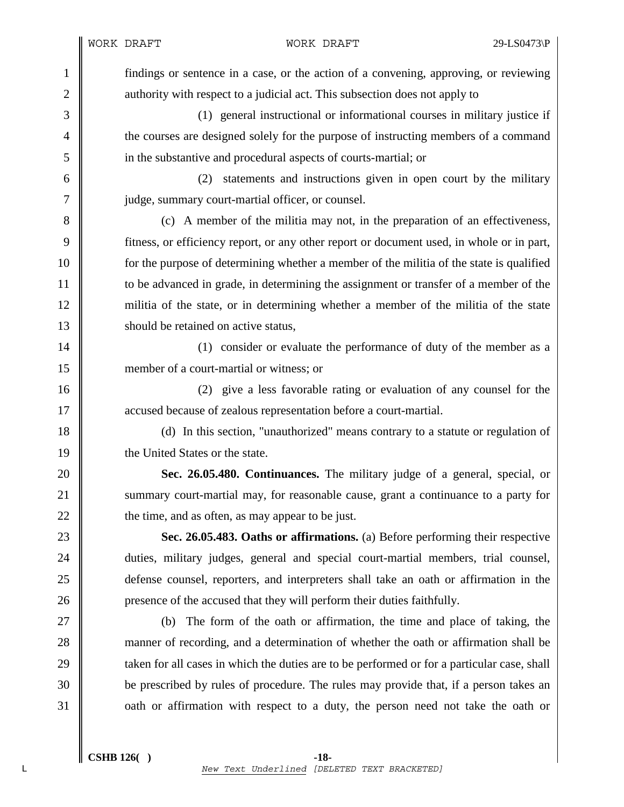1 findings or sentence in a case, or the action of a convening, approving, or reviewing 2 authority with respect to a judicial act. This subsection does not apply to

3 (1) general instructional or informational courses in military justice if 4 the courses are designed solely for the purpose of instructing members of a command 5 in the substantive and procedural aspects of courts-martial; or

6 (2) statements and instructions given in open court by the military 7 || judge, summary court-martial officer, or counsel.

8 (c) A member of the militia may not, in the preparation of an effectiveness, 9 fitness, or efficiency report, or any other report or document used, in whole or in part, 10 for the purpose of determining whether a member of the militia of the state is qualified 11 to be advanced in grade, in determining the assignment or transfer of a member of the 12 militia of the state, or in determining whether a member of the militia of the state 13 **Should be retained on active status.** 

14 || (1) consider or evaluate the performance of duty of the member as a 15 member of a court-martial or witness; or

16 (2) give a less favorable rating or evaluation of any counsel for the 17 accused because of zealous representation before a court-martial.

18 (d) In this section, "unauthorized" means contrary to a statute or regulation of 19 **the United States or the state.** 

20 **Sec. 26.05.480. Continuances.** The military judge of a general, special, or 21 Summary court-martial may, for reasonable cause, grant a continuance to a party for  $22 \parallel$  the time, and as often, as may appear to be just.

23 **Sec. 26.05.483. Oaths or affirmations.** (a) Before performing their respective 24 duties, military judges, general and special court-martial members, trial counsel, 25 defense counsel, reporters, and interpreters shall take an oath or affirmation in the 26 **presence of the accused that they will perform their duties faithfully.** 

27 (b) The form of the oath or affirmation, the time and place of taking, the 28 manner of recording, and a determination of whether the oath or affirmation shall be 29 taken for all cases in which the duties are to be performed or for a particular case, shall 30 be prescribed by rules of procedure. The rules may provide that, if a person takes an 31 oath or affirmation with respect to a duty, the person need not take the oath or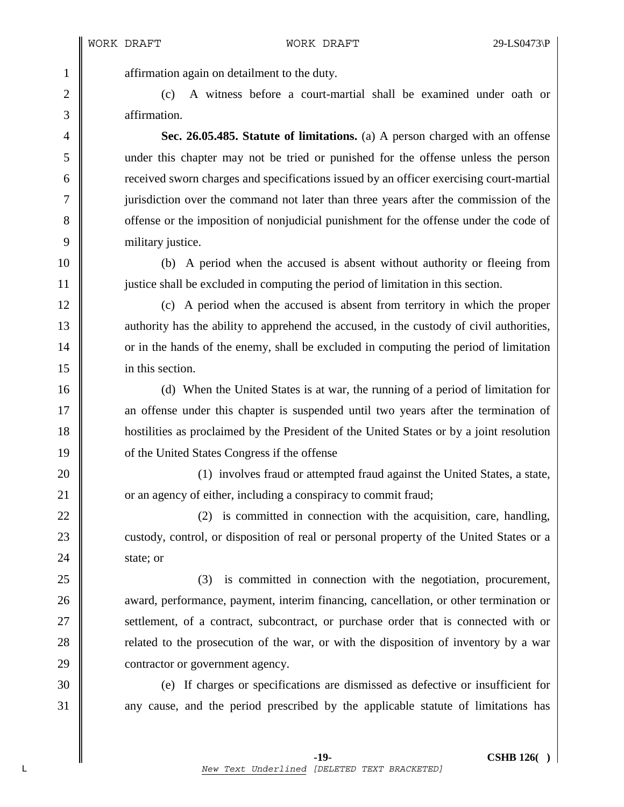1 **a** affirmation again on detailment to the duty.

2 (c) A witness before a court-martial shall be examined under oath or 3 affirmation.

4 **Sec. 26.05.485. Statute of limitations.** (a) A person charged with an offense 5 under this chapter may not be tried or punished for the offense unless the person 6 received sworn charges and specifications issued by an officer exercising court-martial 7 jurisdiction over the command not later than three years after the commission of the 8 offense or the imposition of nonjudicial punishment for the offense under the code of 9 military justice.

10 (b) A period when the accused is absent without authority or fleeing from 11 justice shall be excluded in computing the period of limitation in this section.

12 (c) A period when the accused is absent from territory in which the proper 13 authority has the ability to apprehend the accused, in the custody of civil authorities, 14 or in the hands of the enemy, shall be excluded in computing the period of limitation 15 in this section.

16 (d) When the United States is at war, the running of a period of limitation for 17 **a** an offense under this chapter is suspended until two years after the termination of 18 hostilities as proclaimed by the President of the United States or by a joint resolution 19 **or** the United States Congress if the offense

20 **(1)** involves fraud or attempted fraud against the United States, a state, 21 **or** an agency of either, including a conspiracy to commit fraud;

22  $\parallel$  (2) is committed in connection with the acquisition, care, handling, 23 custody, control, or disposition of real or personal property of the United States or a  $24 \parallel$  state; or

25 (3) is committed in connection with the negotiation, procurement, 26 **a** award, performance, payment, interim financing, cancellation, or other termination or 27 Settlement, of a contract, subcontract, or purchase order that is connected with or 28 **related to the prosecution of the war, or with the disposition of inventory by a war** 29 **contractor or government agency**.

30 (e) If charges or specifications are dismissed as defective or insufficient for 31 any cause, and the period prescribed by the applicable statute of limitations has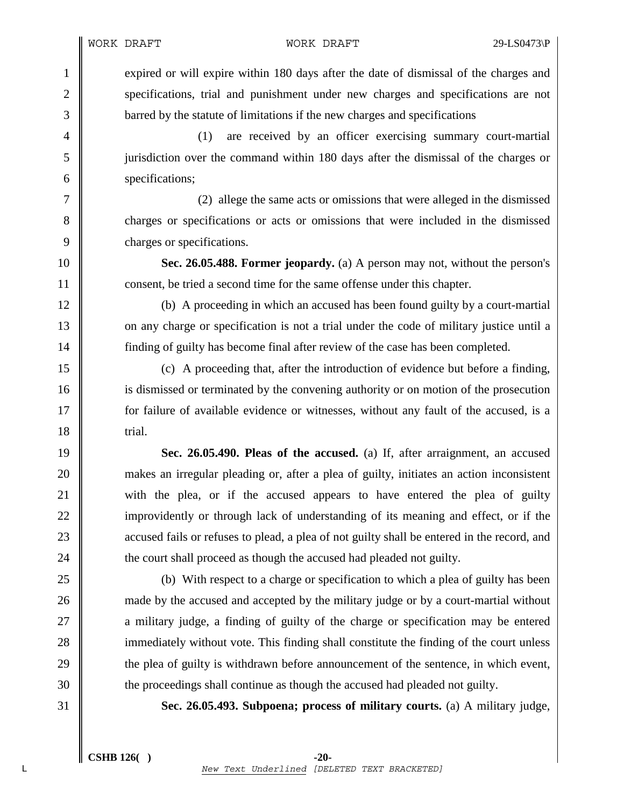1 expired or will expire within 180 days after the date of dismissal of the charges and 2 specifications, trial and punishment under new charges and specifications are not 3 barred by the statute of limitations if the new charges and specifications

4 (1) are received by an officer exercising summary court-martial 5 jurisdiction over the command within 180 days after the dismissal of the charges or 6 specifications;

7 (2) allege the same acts or omissions that were alleged in the dismissed 8 charges or specifications or acts or omissions that were included in the dismissed 9 charges or specifications.

10 **Sec. 26.05.488. Former jeopardy.** (a) A person may not, without the person's 11 **consent**, be tried a second time for the same offense under this chapter.

12 (b) A proceeding in which an accused has been found guilty by a court-martial 13 on any charge or specification is not a trial under the code of military justice until a 14 finding of guilty has become final after review of the case has been completed.

15 (c) A proceeding that, after the introduction of evidence but before a finding, 16 is dismissed or terminated by the convening authority or on motion of the prosecution 17 **for failure of available evidence or witnesses, without any fault of the accused, is a**  $18$   $\parallel$  trial.

19 **Sec. 26.05.490. Pleas of the accused.** (a) If, after arraignment, an accused 20 makes an irregular pleading or, after a plea of guilty, initiates an action inconsistent 21 with the plea, or if the accused appears to have entered the plea of guilty 22 improvidently or through lack of understanding of its meaning and effect, or if the 23 accused fails or refuses to plead, a plea of not guilty shall be entered in the record, and 24 **the court shall proceed as though the accused had pleaded not guilty.** 

25 (b) With respect to a charge or specification to which a plea of guilty has been 26 made by the accused and accepted by the military judge or by a court-martial without 27 **a** military judge, a finding of guilty of the charge or specification may be entered 28 immediately without vote. This finding shall constitute the finding of the court unless 29 the plea of guilty is withdrawn before announcement of the sentence, in which event, 30 the proceedings shall continue as though the accused had pleaded not guilty.

31 **Sec. 26.05.493. Subpoena; process of military courts.** (a) A military judge,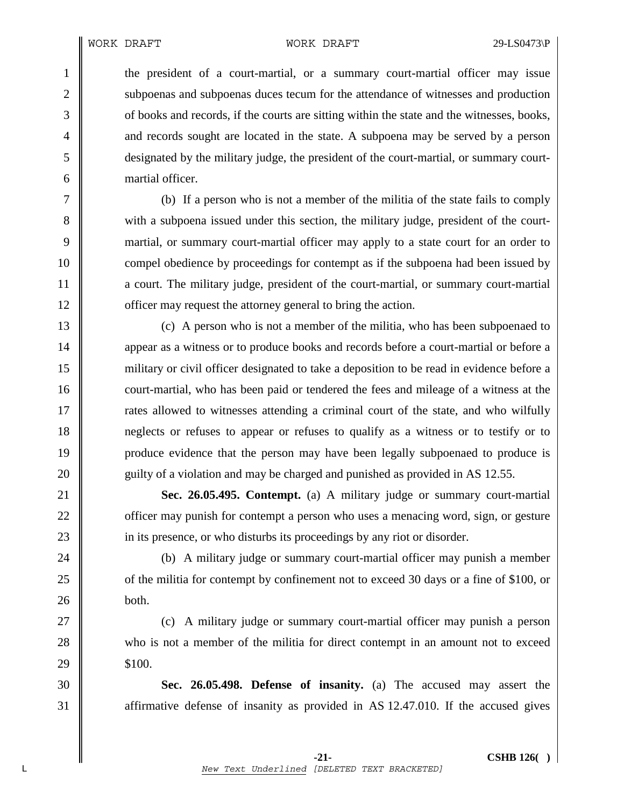1 the president of a court-martial, or a summary court-martial officer may issue 2 | subpoenas and subpoenas duces tecum for the attendance of witnesses and production 3 of books and records, if the courts are sitting within the state and the witnesses, books, 4 and records sought are located in the state. A subpoena may be served by a person 5 designated by the military judge, the president of the court-martial, or summary court-6 martial officer.

7 (b) If a person who is not a member of the militia of the state fails to comply 8 with a subpoena issued under this section, the military judge, president of the court-9 martial, or summary court-martial officer may apply to a state court for an order to 10 compel obedience by proceedings for contempt as if the subpoena had been issued by 11 a court. The military judge, president of the court-martial, or summary court-martial 12 **officer may request the attorney general to bring the action.** 

13 (c) A person who is not a member of the militia, who has been subpoenaed to 14 **appear** as a witness or to produce books and records before a court-martial or before a 15 military or civil officer designated to take a deposition to be read in evidence before a 16 court-martial, who has been paid or tendered the fees and mileage of a witness at the 17 The rates allowed to witnesses attending a criminal court of the state, and who wilfully 18 neglects or refuses to appear or refuses to qualify as a witness or to testify or to 19 produce evidence that the person may have been legally subpoenaed to produce is 20 guilty of a violation and may be charged and punished as provided in AS 12.55.

21 **Sec. 26.05.495. Contempt.** (a) A military judge or summary court-martial 22 **officer may punish for contempt a person who uses a menacing word, sign, or gesture** 23 in its presence, or who disturbs its proceedings by any riot or disorder.

24 (b) A military judge or summary court-martial officer may punish a member 25 of the militia for contempt by confinement not to exceed 30 days or a fine of \$100, or  $26$  **both.** 

27 || (c) A military judge or summary court-martial officer may punish a person 28 who is not a member of the militia for direct contempt in an amount not to exceed  $29 \parallel$  \$100.

30 **Sec. 26.05.498. Defense of insanity.** (a) The accused may assert the 31 Transformative defense of insanity as provided in AS 12.47.010. If the accused gives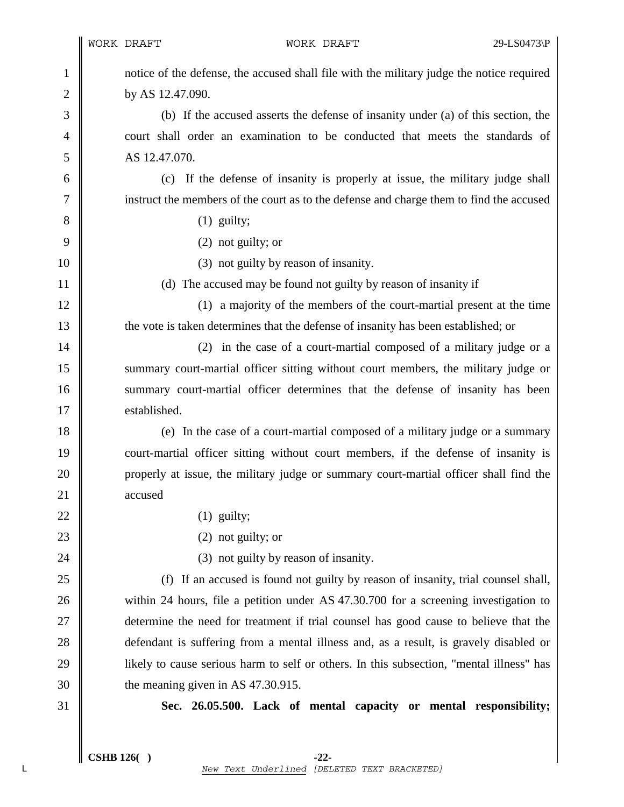1 notice of the defense, the accused shall file with the military judge the notice required 2 **by AS 12.47.090.** 

3 (b) If the accused asserts the defense of insanity under (a) of this section, the 4 court shall order an examination to be conducted that meets the standards of 5 AS 12.47.070.

6 (c) If the defense of insanity is properly at issue, the military judge shall 7 instruct the members of the court as to the defense and charge them to find the accused

- $8 \parallel$  (1) guilty;
- $9 \parallel$  (2) not guilty; or
- 10 (3) not guilty by reason of insanity.

11 || (d) The accused may be found not guilty by reason of insanity if

12 (1) a majority of the members of the court-martial present at the time 13 the vote is taken determines that the defense of insanity has been established; or

14 || (2) in the case of a court-martial composed of a military judge or a 15 summary court-martial officer sitting without court members, the military judge or 16 summary court-martial officer determines that the defense of insanity has been 17 **I** established.

18 (e) In the case of a court-martial composed of a military judge or a summary 19 court-martial officer sitting without court members, if the defense of insanity is 20 properly at issue, the military judge or summary court-martial officer shall find the 21 accused

- 22  $\parallel$  (1) guilty;
- 23 (2) not guilty; or

24 **(3)** not guilty by reason of insanity.

25 (f) If an accused is found not guilty by reason of insanity, trial counsel shall, 26 within 24 hours, file a petition under AS 47.30.700 for a screening investigation to 27 determine the need for treatment if trial counsel has good cause to believe that the 28 defendant is suffering from a mental illness and, as a result, is gravely disabled or 29 **licely is used in the set of self** or others. In this subsection, "mental illness" has  $30 \parallel$  the meaning given in AS 47.30.915.

31 **Sec. 26.05.500. Lack of mental capacity or mental responsibility;**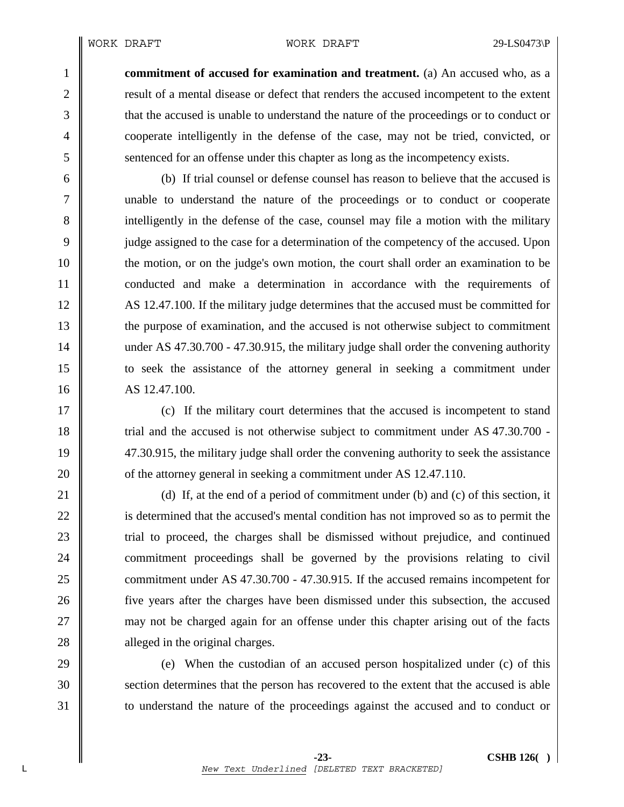1 **commitment of accused for examination and treatment.** (a) An accused who, as a 2 **result of a mental disease or defect that renders the accused incompetent to the extent** 3 that the accused is unable to understand the nature of the proceedings or to conduct or 4 cooperate intelligently in the defense of the case, may not be tried, convicted, or 5 sentenced for an offense under this chapter as long as the incompetency exists.

6 (b) If trial counsel or defense counsel has reason to believe that the accused is 7 unable to understand the nature of the proceedings or to conduct or cooperate 8 intelligently in the defense of the case, counsel may file a motion with the military 9 judge assigned to the case for a determination of the competency of the accused. Upon 10 the motion, or on the judge's own motion, the court shall order an examination to be 11 conducted and make a determination in accordance with the requirements of 12 AS 12.47.100. If the military judge determines that the accused must be committed for 13 the purpose of examination, and the accused is not otherwise subject to commitment 14 under AS 47.30.700 - 47.30.915, the military judge shall order the convening authority 15 to seek the assistance of the attorney general in seeking a commitment under 16 AS 12.47.100.

17 (c) If the military court determines that the accused is incompetent to stand 18 Trial and the accused is not otherwise subject to commitment under AS 47.30.700 -19 47.30.915, the military judge shall order the convening authority to seek the assistance 20 **o** of the attorney general in seeking a commitment under AS 12.47.110.

21  $\parallel$  (d) If, at the end of a period of commitment under (b) and (c) of this section, it 22 is determined that the accused's mental condition has not improved so as to permit the 23 T 24 commitment proceedings shall be governed by the provisions relating to civil 25 commitment under AS 47.30.700 - 47.30.915. If the accused remains incompetent for 26 five years after the charges have been dismissed under this subsection, the accused 27 may not be charged again for an offense under this chapter arising out of the facts 28 alleged in the original charges.

29 (e) When the custodian of an accused person hospitalized under (c) of this 30 section determines that the person has recovered to the extent that the accused is able 31 to understand the nature of the proceedings against the accused and to conduct or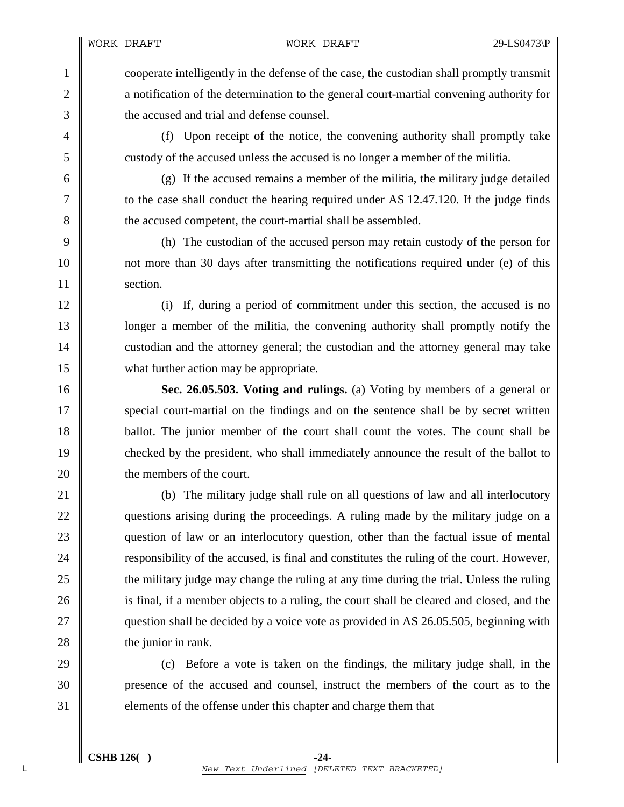1 cooperate intelligently in the defense of the case, the custodian shall promptly transmit 2 **a** notification of the determination to the general court-martial convening authority for 3 **the accused and trial and defense counsel.** 

4 (f) Upon receipt of the notice, the convening authority shall promptly take 5 custody of the accused unless the accused is no longer a member of the militia.

6  $\parallel$  (g) If the accused remains a member of the militia, the military judge detailed 7 \| to the case shall conduct the hearing required under AS 12.47.120. If the judge finds 8 the accused competent, the court-martial shall be assembled.

9 (h) The custodian of the accused person may retain custody of the person for 10 not more than 30 days after transmitting the notifications required under (e) of this 11 Section.

12 (i) If, during a period of commitment under this section, the accused is no 13 **let up the militia** is the convening authority shall promptly notify the 14 custodian and the attorney general; the custodian and the attorney general may take 15 what further action may be appropriate.

16 **Sec. 26.05.503. Voting and rulings.** (a) Voting by members of a general or 17 special court-martial on the findings and on the sentence shall be by secret written 18 ballot. The junior member of the court shall count the votes. The count shall be 19 checked by the president, who shall immediately announce the result of the ballot to 20 **l** the members of the court.

21 (b) The military judge shall rule on all questions of law and all interlocutory 22 questions arising during the proceedings. A ruling made by the military judge on a 23 question of law or an interlocutory question, other than the factual issue of mental 24 **responsibility of the accused, is final and constitutes the ruling of the court. However,** 25 the military judge may change the ruling at any time during the trial. Unless the ruling 26 is final, if a member objects to a ruling, the court shall be cleared and closed, and the 27 **question shall be decided by a voice vote as provided in AS 26.05.505, beginning with** 28 **the junior in rank.** 

29 (c) Before a vote is taken on the findings, the military judge shall, in the 30 presence of the accused and counsel, instruct the members of the court as to the 31 elements of the offense under this chapter and charge them that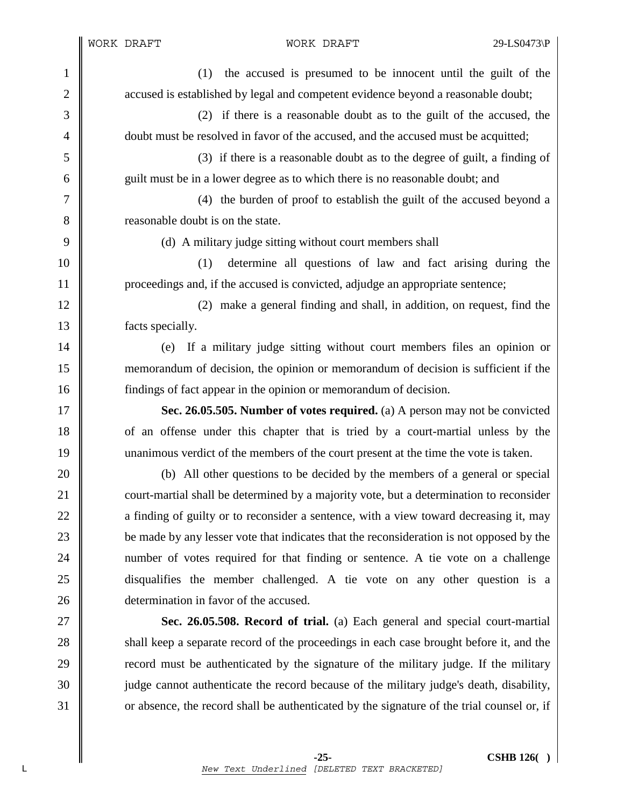WORK DRAFT WORK DRAFT 29-LS0473\P

1 (1) the accused is presumed to be innocent until the guilt of the 2 accused is established by legal and competent evidence beyond a reasonable doubt; 3 (2) if there is a reasonable doubt as to the guilt of the accused, the 4 doubt must be resolved in favor of the accused, and the accused must be acquitted; 5 (3) if there is a reasonable doubt as to the degree of guilt, a finding of 6 guilt must be in a lower degree as to which there is no reasonable doubt; and 7 (4) the burden of proof to establish the guilt of the accused beyond a 8 **8** reasonable doubt is on the state. 9 (d) A military judge sitting without court members shall 10 (1) determine all questions of law and fact arising during the 11 proceedings and, if the accused is convicted, adjudge an appropriate sentence; 12 (2) make a general finding and shall, in addition, on request, find the 13 **facts** specially. 14 (e) If a military judge sitting without court members files an opinion or 15 memorandum of decision, the opinion or memorandum of decision is sufficient if the 16 findings of fact appear in the opinion or memorandum of decision. 17 **Sec. 26.05.505. Number of votes required.** (a) A person may not be convicted 18 of an offense under this chapter that is tried by a court-martial unless by the 19 unanimous verdict of the members of the court present at the time the vote is taken. 20 (b) All other questions to be decided by the members of a general or special 21 court-martial shall be determined by a majority vote, but a determination to reconsider 22 a finding of guilty or to reconsider a sentence, with a view toward decreasing it, may 23 be made by any lesser vote that indicates that the reconsideration is not opposed by the 24 number of votes required for that finding or sentence. A tie vote on a challenge 25 disqualifies the member challenged. A tie vote on any other question is a 26 **d** determination in favor of the accused. 27 **Sec. 26.05.508. Record of trial.** (a) Each general and special court-martial 28 shall keep a separate record of the proceedings in each case brought before it, and the 29 **record** must be authenticated by the signature of the military judge. If the military 30 judge cannot authenticate the record because of the military judge's death, disability, 31 or absence, the record shall be authenticated by the signature of the trial counsel or, if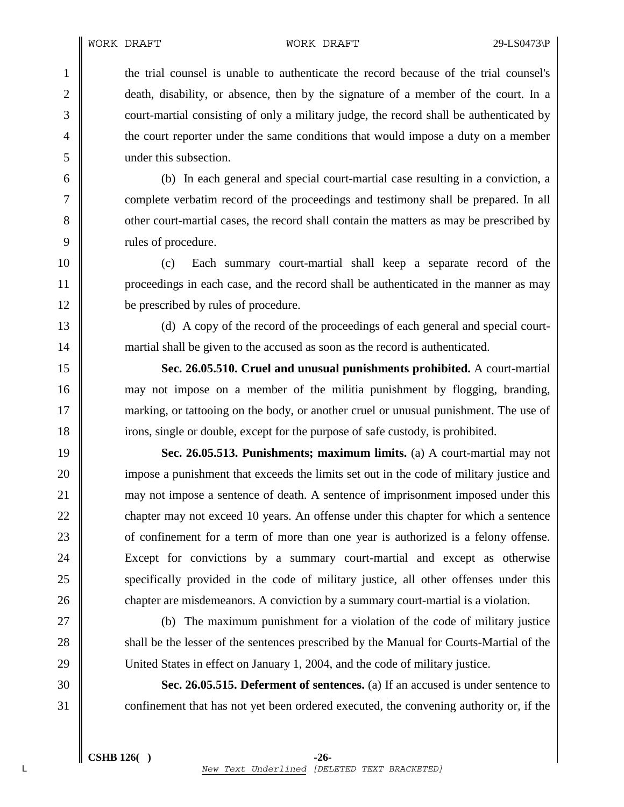1 the trial counsel is unable to authenticate the record because of the trial counsel's 2 death, disability, or absence, then by the signature of a member of the court. In a 3 court-martial consisting of only a military judge, the record shall be authenticated by 4 the court reporter under the same conditions that would impose a duty on a member 5 under this subsection.

6 (b) In each general and special court-martial case resulting in a conviction, a 7 complete verbatim record of the proceedings and testimony shall be prepared. In all 8 other court-martial cases, the record shall contain the matters as may be prescribed by 9 | rules of procedure.

10 (c) Each summary court-martial shall keep a separate record of the 11 proceedings in each case, and the record shall be authenticated in the manner as may 12 be prescribed by rules of procedure.

13 (d) A copy of the record of the proceedings of each general and special court-14 martial shall be given to the accused as soon as the record is authenticated.

15 **Sec. 26.05.510. Cruel and unusual punishments prohibited.** A court-martial 16 may not impose on a member of the militia punishment by flogging, branding, 17 marking, or tattooing on the body, or another cruel or unusual punishment. The use of 18 irons, single or double, except for the purpose of safe custody, is prohibited.

19 **Sec. 26.05.513. Punishments; maximum limits.** (a) A court-martial may not 20 impose a punishment that exceeds the limits set out in the code of military justice and 21 may not impose a sentence of death. A sentence of imprisonment imposed under this 22 chapter may not exceed 10 years. An offense under this chapter for which a sentence 23 **of** confinement for a term of more than one year is authorized is a felony offense. 24 Except for convictions by a summary court-martial and except as otherwise 25 specifically provided in the code of military justice, all other offenses under this 26 chapter are misdemeanors. A conviction by a summary court-martial is a violation.

27 (b) The maximum punishment for a violation of the code of military justice 28 shall be the lesser of the sentences prescribed by the Manual for Courts-Martial of the 29 United States in effect on January 1, 2004, and the code of military justice.

30 **Sec. 26.05.515. Deferment of sentences.** (a) If an accused is under sentence to 31 confinement that has not yet been ordered executed, the convening authority or, if the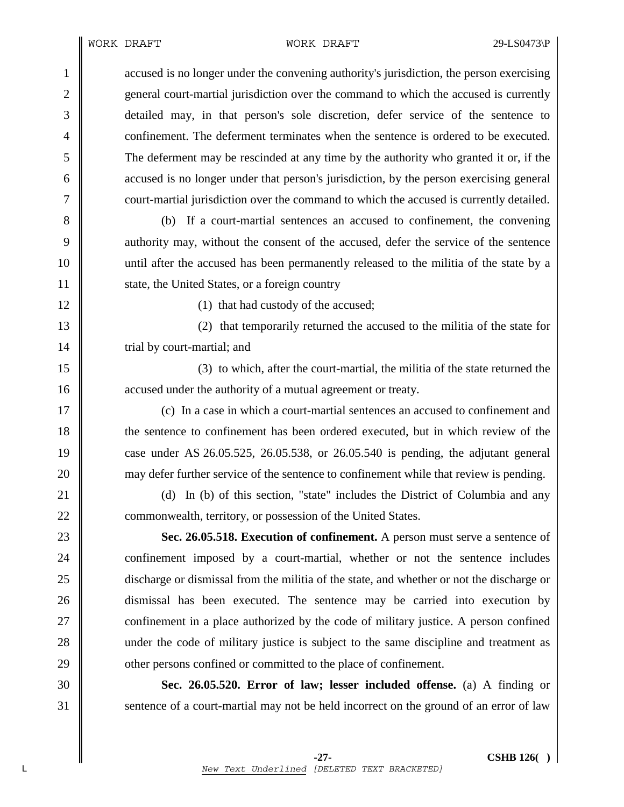### WORK DRAFT WORK DRAFT 29-LS0473\P

1 cacused is no longer under the convening authority's jurisdiction, the person exercising 2 general court-martial jurisdiction over the command to which the accused is currently 3 detailed may, in that person's sole discretion, defer service of the sentence to 4 confinement. The deferment terminates when the sentence is ordered to be executed. 5 The deferment may be rescinded at any time by the authority who granted it or, if the 6 accused is no longer under that person's jurisdiction, by the person exercising general 7 court-martial jurisdiction over the command to which the accused is currently detailed.

8 (b) If a court-martial sentences an accused to confinement, the convening 9 authority may, without the consent of the accused, defer the service of the sentence 10 until after the accused has been permanently released to the militia of the state by a 11 State, the United States, or a foreign country

12 || (1) that had custody of the accused;

13 (2) that temporarily returned the accused to the militia of the state for 14 | trial by court-martial; and

15 (3) to which, after the court-martial, the militia of the state returned the 16 **a** accused under the authority of a mutual agreement or treaty.

17 (c) In a case in which a court-martial sentences an accused to confinement and 18 the sentence to confinement has been ordered executed, but in which review of the 19 case under AS 26.05.525, 26.05.538, or 26.05.540 is pending, the adjutant general 20 may defer further service of the sentence to confinement while that review is pending.

21 (d) In (b) of this section, "state" includes the District of Columbia and any 22 **commonwealth, territory, or possession of the United States.** 

23 **Sec. 26.05.518. Execution of confinement.** A person must serve a sentence of 24 confinement imposed by a court-martial, whether or not the sentence includes 25 discharge or dismissal from the militia of the state, and whether or not the discharge or 26 dismissal has been executed. The sentence may be carried into execution by 27 **confinement in a place authorized by the code of military justice.** A person confined 28 under the code of military justice is subject to the same discipline and treatment as 29 **our** other persons confined or committed to the place of confinement.

30 **Sec. 26.05.520. Error of law; lesser included offense.** (a) A finding or 31 Sentence of a court-martial may not be held incorrect on the ground of an error of law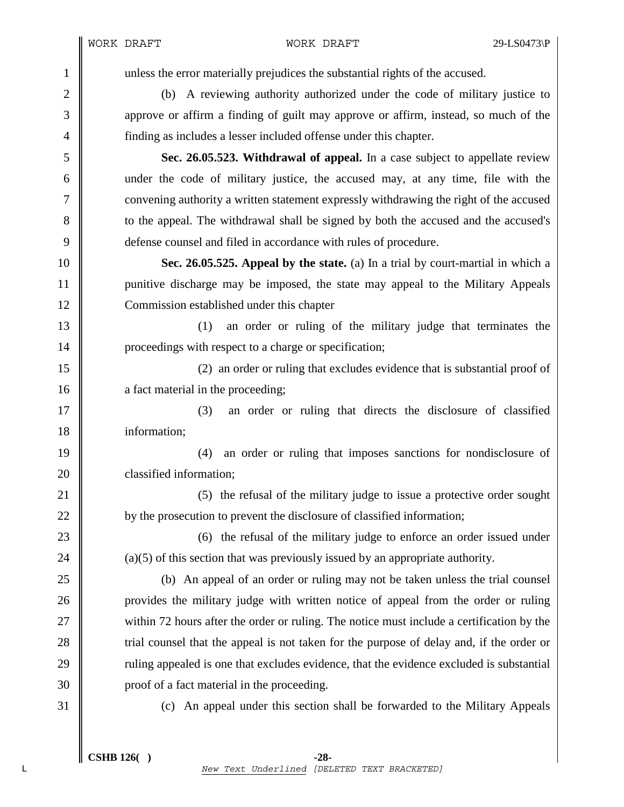1 unless the error materially prejudices the substantial rights of the accused.

2 (b) A reviewing authority authorized under the code of military justice to 3 approve or affirm a finding of guilt may approve or affirm, instead, so much of the 4 finding as includes a lesser included offense under this chapter.

5 **Sec. 26.05.523. Withdrawal of appeal.** In a case subject to appellate review 6 under the code of military justice, the accused may, at any time, file with the 7 convening authority a written statement expressly withdrawing the right of the accused 8 to the appeal. The withdrawal shall be signed by both the accused and the accused's 9 defense counsel and filed in accordance with rules of procedure.

10 **Sec. 26.05.525. Appeal by the state.** (a) In a trial by court-martial in which a 11 punitive discharge may be imposed, the state may appeal to the Military Appeals 12 Commission established under this chapter

13 (1) an order or ruling of the military judge that terminates the 14 **proceedings with respect to a charge or specification;** 

15 (2) an order or ruling that excludes evidence that is substantial proof of 16 **a** fact material in the proceeding;

17 || (3) an order or ruling that directs the disclosure of classified 18 information;

19 (4) an order or ruling that imposes sanctions for nondisclosure of 20 **classified information:** 

21 (5) the refusal of the military judge to issue a protective order sought 22 by the prosecution to prevent the disclosure of classified information;

23 (6) the refusal of the military judge to enforce an order issued under 24  $\parallel$  (a)(5) of this section that was previously issued by an appropriate authority.

25 (b) An appeal of an order or ruling may not be taken unless the trial counsel 26 provides the military judge with written notice of appeal from the order or ruling 27 within 72 hours after the order or ruling. The notice must include a certification by the 28 trial counsel that the appeal is not taken for the purpose of delay and, if the order or 29 Tuling appealed is one that excludes evidence, that the evidence excluded is substantial 30 proof of a fact material in the proceeding.

31 (c) An appeal under this section shall be forwarded to the Military Appeals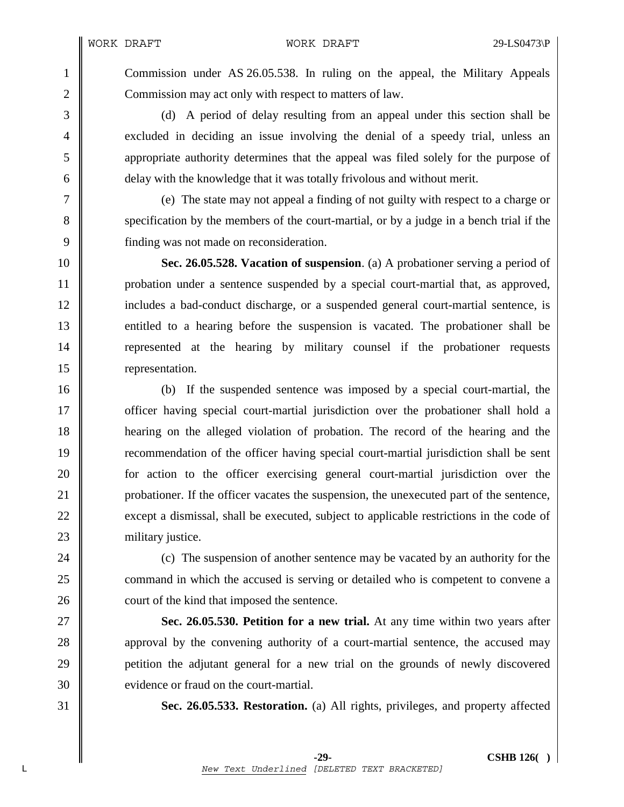1 Commission under AS 26.05.538. In ruling on the appeal, the Military Appeals 2 Commission may act only with respect to matters of law.

3 (d) A period of delay resulting from an appeal under this section shall be 4 excluded in deciding an issue involving the denial of a speedy trial, unless an 5 appropriate authority determines that the appeal was filed solely for the purpose of 6 delay with the knowledge that it was totally frivolous and without merit.

7 (e) The state may not appeal a finding of not guilty with respect to a charge or 8 specification by the members of the court-martial, or by a judge in a bench trial if the 9 finding was not made on reconsideration.

10 **Sec. 26.05.528. Vacation of suspension**. (a) A probationer serving a period of 11 | probation under a sentence suspended by a special court-martial that, as approved, 12 includes a bad-conduct discharge, or a suspended general court-martial sentence, is 13 entitled to a hearing before the suspension is vacated. The probationer shall be 14 represented at the hearing by military counsel if the probationer requests 15 **representation.** 

16 (b) If the suspended sentence was imposed by a special court-martial, the 17 **officer having special court-martial jurisdiction over the probationer shall hold a** 18 hearing on the alleged violation of probation. The record of the hearing and the 19 recommendation of the officer having special court-martial jurisdiction shall be sent 20 **for** action to the officer exercising general court-martial jurisdiction over the 21 probationer. If the officer vacates the suspension, the unexecuted part of the sentence, 22 except a dismissal, shall be executed, subject to applicable restrictions in the code of 23 | military justice.

24 **(c)** The suspension of another sentence may be vacated by an authority for the 25 command in which the accused is serving or detailed who is competent to convene a 26 court of the kind that imposed the sentence.

27 **Sec. 26.05.530. Petition for a new trial.** At any time within two years after 28 approval by the convening authority of a court-martial sentence, the accused may 29 petition the adjutant general for a new trial on the grounds of newly discovered 30 **evidence or fraud on the court-martial.** 

31 **Sec. 26.05.533. Restoration.** (a) All rights, privileges, and property affected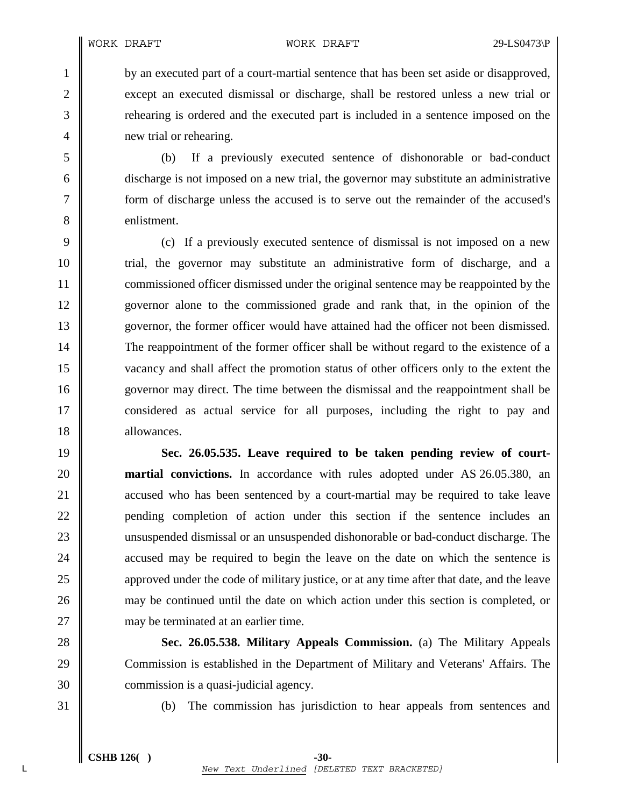1 by an executed part of a court-martial sentence that has been set aside or disapproved, 2 except an executed dismissal or discharge, shall be restored unless a new trial or 3 rehearing is ordered and the executed part is included in a sentence imposed on the 4 **new trial or rehearing.** 

5 (b) If a previously executed sentence of dishonorable or bad-conduct 6 discharge is not imposed on a new trial, the governor may substitute an administrative 7 form of discharge unless the accused is to serve out the remainder of the accused's 8 **b** enlistment.

9 (c) If a previously executed sentence of dismissal is not imposed on a new 10 trial, the governor may substitute an administrative form of discharge, and a 11 **commissioned officer dismissed under the original sentence may be reappointed by the** 12 governor alone to the commissioned grade and rank that, in the opinion of the 13 governor, the former officer would have attained had the officer not been dismissed. 14 The reappointment of the former officer shall be without regard to the existence of a 15 vacancy and shall affect the promotion status of other officers only to the extent the 16 governor may direct. The time between the dismissal and the reappointment shall be 17 considered as actual service for all purposes, including the right to pay and 18 allowances.

19 **Sec. 26.05.535. Leave required to be taken pending review of court-**20 **martial convictions.** In accordance with rules adopted under AS 26.05.380, an 21 **accused who has been sentenced by a court-martial may be required to take leave** 22 pending completion of action under this section if the sentence includes an 23 unsuspended dismissal or an unsuspended dishonorable or bad-conduct discharge. The 24 **accused may be required to begin the leave on the date on which the sentence is** 25 approved under the code of military justice, or at any time after that date, and the leave 26 may be continued until the date on which action under this section is completed, or 27 may be terminated at an earlier time.

28 **Sec. 26.05.538. Military Appeals Commission.** (a) The Military Appeals 29 Commission is established in the Department of Military and Veterans' Affairs. The 30 commission is a quasi-judicial agency.

31 (b) The commission has jurisdiction to hear appeals from sentences and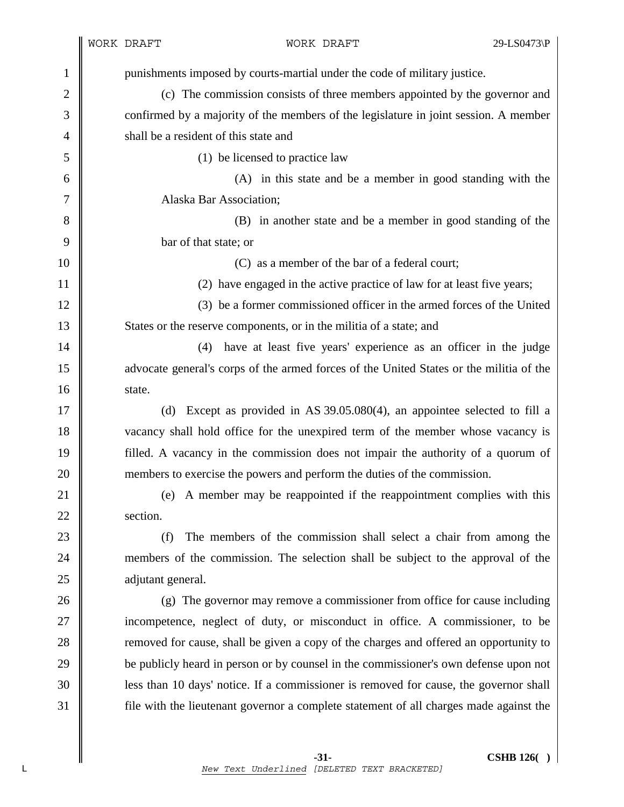1 punishments imposed by courts-martial under the code of military justice. 2 (c) The commission consists of three members appointed by the governor and 3 confirmed by a majority of the members of the legislature in joint session. A member 4 **shall be a resident of this state and** 5 (1) be licensed to practice law 6 (A) in this state and be a member in good standing with the 7 Alaska Bar Association; 8 (B) in another state and be a member in good standing of the 9 bar of that state; or 10 **10** C) as a member of the bar of a federal court; 11  $\parallel$  (2) have engaged in the active practice of law for at least five years; 12 (3) be a former commissioned officer in the armed forces of the United 13 States or the reserve components, or in the militia of a state; and 14 || (4) have at least five years' experience as an officer in the judge 15 advocate general's corps of the armed forces of the United States or the militia of the 16 State. 17 (d) Except as provided in AS 39.05.080(4), an appointee selected to fill a 18 vacancy shall hold office for the unexpired term of the member whose vacancy is 19 filled. A vacancy in the commission does not impair the authority of a quorum of 20 members to exercise the powers and perform the duties of the commission. 21 (e) A member may be reappointed if the reappointment complies with this 22 section. 23 (f) The members of the commission shall select a chair from among the 24 members of the commission. The selection shall be subject to the approval of the 25 **adjutant general.** 26 (g) The governor may remove a commissioner from office for cause including 27 incompetence, neglect of duty, or misconduct in office. A commissioner, to be 28 **removed for cause, shall be given a copy of the charges and offered an opportunity to** 29 be publicly heard in person or by counsel in the commissioner's own defense upon not 30 less than 10 days' notice. If a commissioner is removed for cause, the governor shall 31 file with the lieutenant governor a complete statement of all charges made against the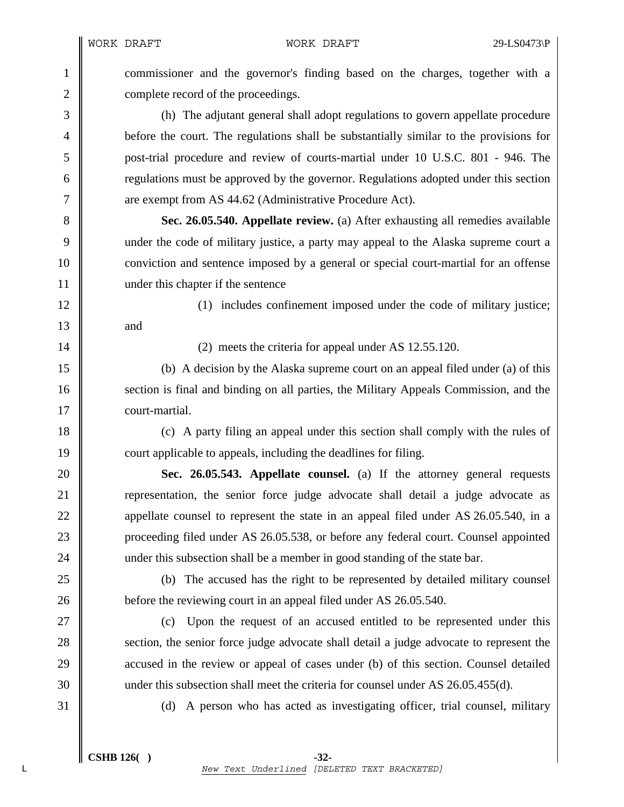WORK DRAFT WORK DRAFT 29-LS0473\P

1 commissioner and the governor's finding based on the charges, together with a 2 **complete record of the proceedings.** 

3 (h) The adjutant general shall adopt regulations to govern appellate procedure 4 before the court. The regulations shall be substantially similar to the provisions for 5 post-trial procedure and review of courts-martial under 10 U.S.C. 801 - 946. The 6 **Figure 1 regulations must be approved by the governor. Regulations adopted under this section** 7  $\parallel$  are exempt from AS 44.62 (Administrative Procedure Act).

8 **Sec. 26.05.540. Appellate review.** (a) After exhausting all remedies available 9 under the code of military justice, a party may appeal to the Alaska supreme court a 10 conviction and sentence imposed by a general or special court-martial for an offense 11 | under this chapter if the sentence

12  $\parallel$  (1) includes confinement imposed under the code of military justice;  $13 \parallel$  and

14 || (2) meets the criteria for appeal under AS 12.55.120.

15 (b) A decision by the Alaska supreme court on an appeal filed under (a) of this 16 section is final and binding on all parties, the Military Appeals Commission, and the 17 **court-martial.** 

18 (c) A party filing an appeal under this section shall comply with the rules of 19 court applicable to appeals, including the deadlines for filing.

20 **Sec. 26.05.543. Appellate counsel.** (a) If the attorney general requests 21 **representation**, the senior force judge advocate shall detail a judge advocate as 22 appellate counsel to represent the state in an appeal filed under AS 26.05.540, in a 23 proceeding filed under AS 26.05.538, or before any federal court. Counsel appointed 24 w under this subsection shall be a member in good standing of the state bar.

25 (b) The accused has the right to be represented by detailed military counsel 26 before the reviewing court in an appeal filed under AS 26.05.540.

27 || (c) Upon the request of an accused entitled to be represented under this 28 section, the senior force judge advocate shall detail a judge advocate to represent the 29 **accused in the review or appeal of cases under (b) of this section. Counsel detailed** 30 under this subsection shall meet the criteria for counsel under AS 26.05.455(d).

31 (d) A person who has acted as investigating officer, trial counsel, military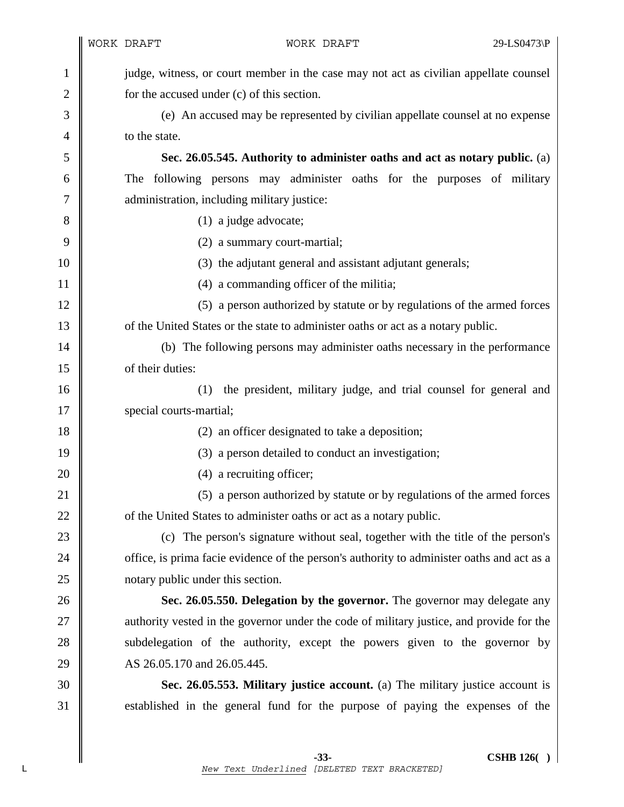| $\mathbf{1}$   | judge, witness, or court member in the case may not act as civilian appellate counsel      |
|----------------|--------------------------------------------------------------------------------------------|
| $\overline{c}$ | for the accused under (c) of this section.                                                 |
| 3              | (e) An accused may be represented by civilian appellate counsel at no expense              |
| 4              | to the state.                                                                              |
| 5              | Sec. 26.05.545. Authority to administer oaths and act as notary public. (a)                |
| 6              | The following persons may administer oaths for the purposes of military                    |
| 7              | administration, including military justice:                                                |
| 8              | $(1)$ a judge advocate;                                                                    |
| 9              | (2) a summary court-martial;                                                               |
| 10             | (3) the adjutant general and assistant adjutant generals;                                  |
| 11             | (4) a commanding officer of the militia;                                                   |
| 12             | (5) a person authorized by statute or by regulations of the armed forces                   |
| 13             | of the United States or the state to administer oaths or act as a notary public.           |
| 14             | (b) The following persons may administer oaths necessary in the performance                |
| 15             | of their duties:                                                                           |
| 16             | the president, military judge, and trial counsel for general and<br>(1)                    |
| 17             | special courts-martial;                                                                    |
| 18             | (2) an officer designated to take a deposition;                                            |
| 19             | (3) a person detailed to conduct an investigation;                                         |
| 20             | (4) a recruiting officer;                                                                  |
| 21             | (5) a person authorized by statute or by regulations of the armed forces                   |
| 22             | of the United States to administer oaths or act as a notary public.                        |
| 23             | (c) The person's signature without seal, together with the title of the person's           |
| 24             | office, is prima facie evidence of the person's authority to administer oaths and act as a |
| 25             | notary public under this section.                                                          |
| 26             | Sec. 26.05.550. Delegation by the governor. The governor may delegate any                  |
| 27             | authority vested in the governor under the code of military justice, and provide for the   |
| 28             | subdelegation of the authority, except the powers given to the governor by                 |
| 29             | AS 26.05.170 and 26.05.445.                                                                |
| 30             | Sec. 26.05.553. Military justice account. (a) The military justice account is              |
| 31             | established in the general fund for the purpose of paying the expenses of the              |
|                |                                                                                            |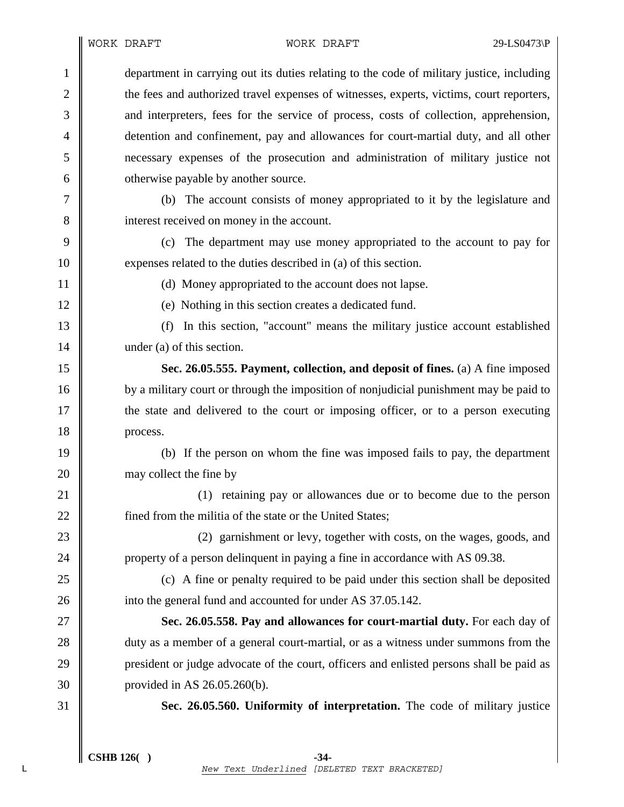1 department in carrying out its duties relating to the code of military justice, including 2 the fees and authorized travel expenses of witnesses, experts, victims, court reporters, 3 and interpreters, fees for the service of process, costs of collection, apprehension, 4 detention and confinement, pay and allowances for court-martial duty, and all other 5 necessary expenses of the prosecution and administration of military justice not 6 **our** otherwise payable by another source. 7 (b) The account consists of money appropriated to it by the legislature and 8 interest received on money in the account. 9 (c) The department may use money appropriated to the account to pay for 10 expenses related to the duties described in (a) of this section. 11 | (d) Money appropriated to the account does not lapse. 12 (e) Nothing in this section creates a dedicated fund. 13 (f) In this section, "account" means the military justice account established 14 under (a) of this section. 15 **Sec. 26.05.555. Payment, collection, and deposit of fines.** (a) A fine imposed 16 by a military court or through the imposition of nonjudicial punishment may be paid to 17 the state and delivered to the court or imposing officer, or to a person executing 18 process. 19 (b) If the person on whom the fine was imposed fails to pay, the department 20 **may** collect the fine by 21 (1) retaining pay or allowances due or to become due to the person 22 **fined from the militia of the state or the United States;** 23 **(2)** garnishment or levy, together with costs, on the wages, goods, and 24 property of a person delinquent in paying a fine in accordance with AS 09.38. 25 (c) A fine or penalty required to be paid under this section shall be deposited 26 **i** into the general fund and accounted for under AS 37.05.142. 27 **Sec. 26.05.558. Pay and allowances for court-martial duty.** For each day of 28 duty as a member of a general court-martial, or as a witness under summons from the 29 president or judge advocate of the court, officers and enlisted persons shall be paid as 30 provided in AS 26.05.260(b). 31 **Sec. 26.05.560. Uniformity of interpretation.** The code of military justice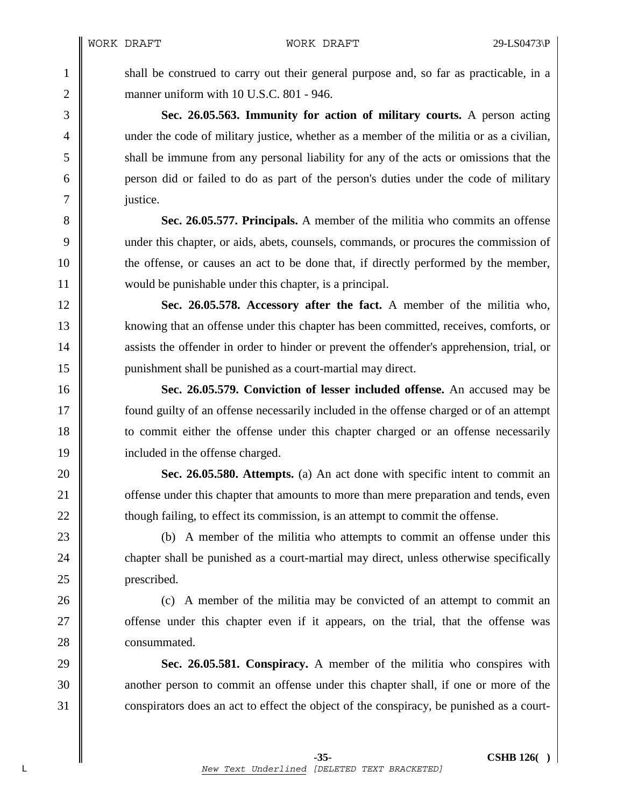1 shall be construed to carry out their general purpose and, so far as practicable, in a 2 manner uniform with 10 U.S.C. 801 - 946.

3 **Sec. 26.05.563. Immunity for action of military courts.** A person acting 4 under the code of military justice, whether as a member of the militia or as a civilian, 5 shall be immune from any personal liability for any of the acts or omissions that the 6 person did or failed to do as part of the person's duties under the code of military 7 justice.

8 **Sec. 26.05.577. Principals.** A member of the militia who commits an offense 9 under this chapter, or aids, abets, counsels, commands, or procures the commission of 10 the offense, or causes an act to be done that, if directly performed by the member, 11 would be punishable under this chapter, is a principal.

12 **Sec. 26.05.578. Accessory after the fact.** A member of the militia who, 13 knowing that an offense under this chapter has been committed, receives, comforts, or 14 assists the offender in order to hinder or prevent the offender's apprehension, trial, or 15 punishment shall be punished as a court-martial may direct.

16 **Sec. 26.05.579. Conviction of lesser included offense.** An accused may be 17 found guilty of an offense necessarily included in the offense charged or of an attempt 18 to commit either the offense under this chapter charged or an offense necessarily 19 | included in the offense charged.

20 **Sec. 26.05.580. Attempts.** (a) An act done with specific intent to commit an 21 **offense under this chapter that amounts to more than mere preparation and tends, even** 22  $\parallel$  though failing, to effect its commission, is an attempt to commit the offense.

23 (b) A member of the militia who attempts to commit an offense under this 24 chapter shall be punished as a court-martial may direct, unless otherwise specifically

26 (c) A member of the militia may be convicted of an attempt to commit an 27 **offense** under this chapter even if it appears, on the trial, that the offense was

29 **Sec. 26.05.581. Conspiracy.** A member of the militia who conspires with 30 another person to commit an offense under this chapter shall, if one or more of the 31 conspirators does an act to effect the object of the conspiracy, be punished as a court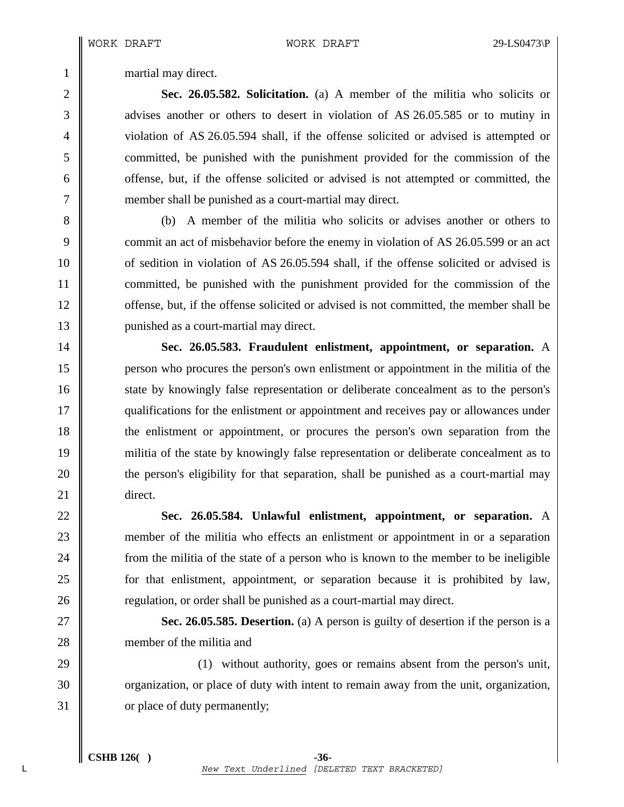1 martial may direct.

2 **Sec. 26.05.582. Solicitation.** (a) A member of the militia who solicits or 3 decays another or others to desert in violation of AS 26.05.585 or to mutiny in 4 violation of AS 26.05.594 shall, if the offense solicited or advised is attempted or 5 committed, be punished with the punishment provided for the commission of the 6 offense, but, if the offense solicited or advised is not attempted or committed, the 7 member shall be punished as a court-martial may direct.

8 (b) A member of the militia who solicits or advises another or others to 9 commit an act of misbehavior before the enemy in violation of AS 26.05.599 or an act 10 of sedition in violation of AS 26.05.594 shall, if the offense solicited or advised is 11 committed, be punished with the punishment provided for the commission of the 12 | offense, but, if the offense solicited or advised is not committed, the member shall be 13 | punished as a court-martial may direct.

14 **Sec. 26.05.583. Fraudulent enlistment, appointment, or separation.** A 15 person who procures the person's own enlistment or appointment in the militia of the 16 state by knowingly false representation or deliberate concealment as to the person's 17 qualifications for the enlistment or appointment and receives pay or allowances under 18 the enlistment or appointment, or procures the person's own separation from the 19 militia of the state by knowingly false representation or deliberate concealment as to 20 the person's eligibility for that separation, shall be punished as a court-martial may 21 direct.

22 **Sec. 26.05.584. Unlawful enlistment, appointment, or separation.** A 23 member of the militia who effects an enlistment or appointment in or a separation 24 **from** the militia of the state of a person who is known to the member to be ineligible 25 for that enlistment, appointment, or separation because it is prohibited by law, 26 **Team** regulation, or order shall be punished as a court-martial may direct.

27 **Sec. 26.05.585. Desertion.** (a) A person is guilty of desertion if the person is a 28 **m** member of the militia and

29 (1) without authority, goes or remains absent from the person's unit, 30 corganization, or place of duty with intent to remain away from the unit, organization, 31 or place of duty permanently;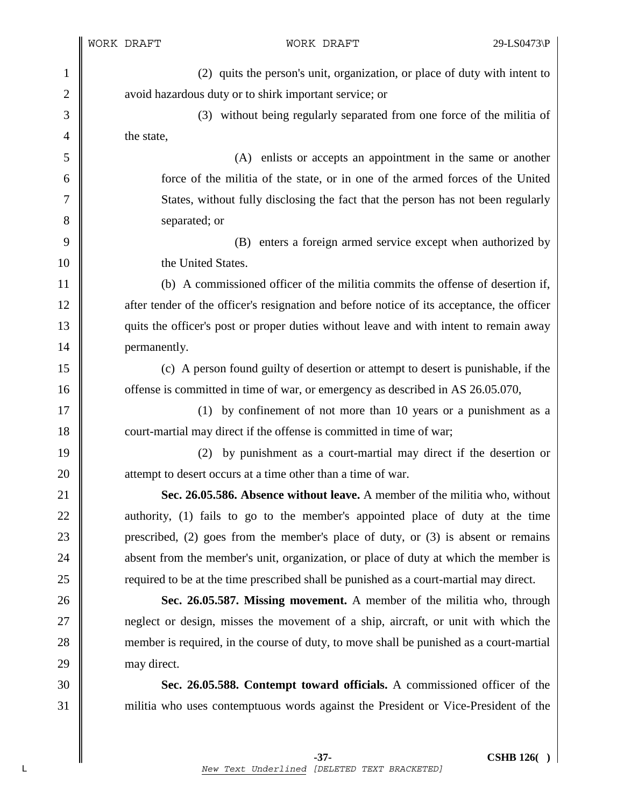$\mathsf I$ I

| $\mathbf{1}$ | (2) quits the person's unit, organization, or place of duty with intent to                 |  |  |
|--------------|--------------------------------------------------------------------------------------------|--|--|
| $\mathbf{2}$ | avoid hazardous duty or to shirk important service; or                                     |  |  |
| 3            | (3) without being regularly separated from one force of the militia of                     |  |  |
| 4            | the state,                                                                                 |  |  |
| 5            | (A) enlists or accepts an appointment in the same or another                               |  |  |
| 6            | force of the militia of the state, or in one of the armed forces of the United             |  |  |
| 7            | States, without fully disclosing the fact that the person has not been regularly           |  |  |
| 8            | separated; or                                                                              |  |  |
| 9            | (B) enters a foreign armed service except when authorized by                               |  |  |
| 10           | the United States.                                                                         |  |  |
| 11           | (b) A commissioned officer of the militia commits the offense of desertion if,             |  |  |
| 12           | after tender of the officer's resignation and before notice of its acceptance, the officer |  |  |
| 13           | quits the officer's post or proper duties without leave and with intent to remain away     |  |  |
| 14           | permanently.                                                                               |  |  |
| 15           | (c) A person found guilty of desertion or attempt to desert is punishable, if the          |  |  |
| 16           | offense is committed in time of war, or emergency as described in AS 26.05.070,            |  |  |
| 17           | (1) by confinement of not more than 10 years or a punishment as a                          |  |  |
| 18           | court-martial may direct if the offense is committed in time of war;                       |  |  |
| 19           | by punishment as a court-martial may direct if the desertion or<br>(2)                     |  |  |
| 20           | attempt to desert occurs at a time other than a time of war.                               |  |  |
| 21           | Sec. 26.05.586. Absence without leave. A member of the militia who, without                |  |  |
| 22           | authority, (1) fails to go to the member's appointed place of duty at the time             |  |  |
| 23           | prescribed, $(2)$ goes from the member's place of duty, or $(3)$ is absent or remains      |  |  |
| 24           | absent from the member's unit, organization, or place of duty at which the member is       |  |  |
| 25           | required to be at the time prescribed shall be punished as a court-martial may direct.     |  |  |
| 26           | Sec. 26.05.587. Missing movement. A member of the militia who, through                     |  |  |
| 27           | neglect or design, misses the movement of a ship, aircraft, or unit with which the         |  |  |
| 28           | member is required, in the course of duty, to move shall be punished as a court-martial    |  |  |
| 29           | may direct.                                                                                |  |  |
| 30           | Sec. 26.05.588. Contempt toward officials. A commissioned officer of the                   |  |  |
| 31           | militia who uses contemptuous words against the President or Vice-President of the         |  |  |
|              |                                                                                            |  |  |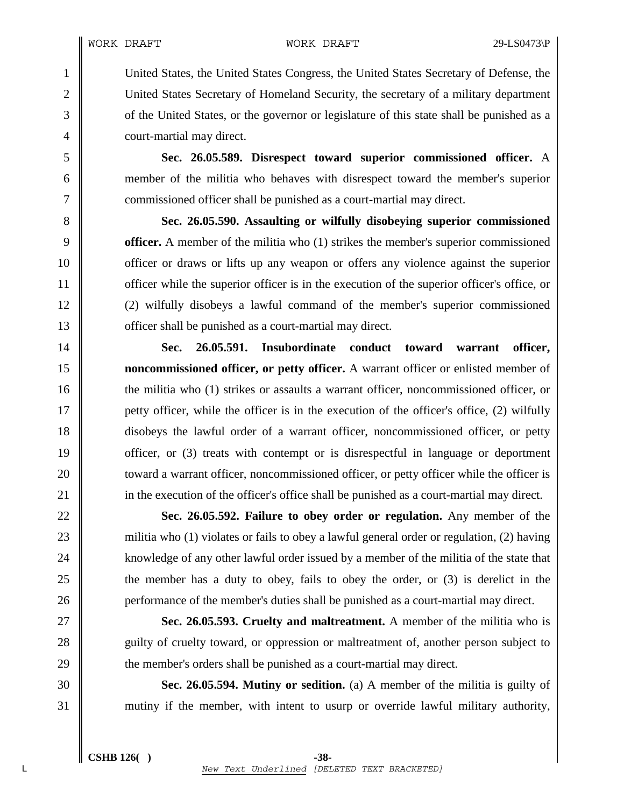1 United States, the United States Congress, the United States Secretary of Defense, the 2 United States Secretary of Homeland Security, the secretary of a military department 3 of the United States, or the governor or legislature of this state shall be punished as a 4 **court-martial may direct.** 

5 **Sec. 26.05.589. Disrespect toward superior commissioned officer.** A 6 member of the militia who behaves with disrespect toward the member's superior 7 commissioned officer shall be punished as a court-martial may direct.

**Sec. 26.05.590. Assaulting or wilfully disobeying superior commissioned officer.** A member of the militia who (1) strikes the member's superior commissioned **officer or draws or lifts up any weapon or offers any violence against the superior officer while the superior officer is in the execution of the superior officer's office, or** 12 (2) wilfully disobeys a lawful command of the member's superior commissioned **officer shall be punished as a court-martial may direct.** 

14 **Sec. 26.05.591. Insubordinate conduct toward warrant officer,**  15 **noncommissioned officer, or petty officer.** A warrant officer or enlisted member of 16 the militia who (1) strikes or assaults a warrant officer, noncommissioned officer, or 17 vetty officer, while the officer is in the execution of the officer's office, (2) wilfully 18 disobeys the lawful order of a warrant officer, noncommissioned officer, or petty 19 **officer**, or (3) treats with contempt or is disrespectful in language or deportment 20 **toward a warrant officer, noncommissioned officer, or petty officer while the officer is** 21 in the execution of the officer's office shall be punished as a court-martial may direct.

22 **Sec. 26.05.592. Failure to obey order or regulation.** Any member of the 23 militia who (1) violates or fails to obey a lawful general order or regulation, (2) having 24 | knowledge of any other lawful order issued by a member of the militia of the state that 25 the member has a duty to obey, fails to obey the order, or (3) is derelict in the 26 **performance of the member's duties shall be punished as a court-martial may direct.** 

27 **Sec. 26.05.593. Cruelty and maltreatment.** A member of the militia who is 28 guilty of cruelty toward, or oppression or maltreatment of, another person subject to 29 the member's orders shall be punished as a court-martial may direct.

30 **Sec. 26.05.594. Mutiny or sedition.** (a) A member of the militia is guilty of 31 mutiny if the member, with intent to usurp or override lawful military authority,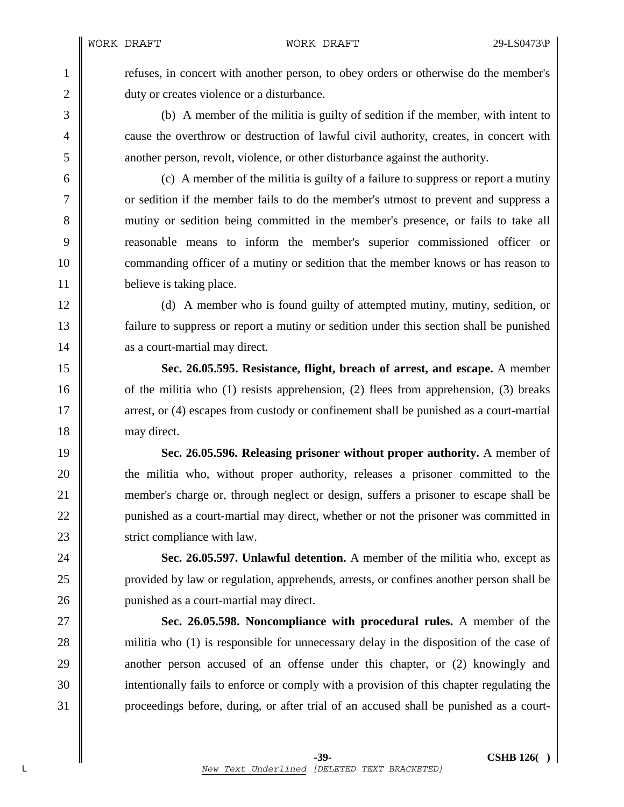1 for refuses, in concert with another person, to obey orders or otherwise do the member's 2 duty or creates violence or a disturbance.

3 (b) A member of the militia is guilty of sedition if the member, with intent to 4 cause the overthrow or destruction of lawful civil authority, creates, in concert with 5 another person, revolt, violence, or other disturbance against the authority.

6 (c) A member of the militia is guilty of a failure to suppress or report a mutiny 7 or sedition if the member fails to do the member's utmost to prevent and suppress a 8 mutiny or sedition being committed in the member's presence, or fails to take all 9 reasonable means to inform the member's superior commissioned officer or 10 **commanding officer of a mutiny or sedition that the member knows or has reason to** 11 believe is taking place.

12 (d) A member who is found guilty of attempted mutiny, mutiny, sedition, or 13 failure to suppress or report a mutiny or sedition under this section shall be punished 14 as a court-martial may direct.

15 **Sec. 26.05.595. Resistance, flight, breach of arrest, and escape.** A member 16  $\parallel$  of the militia who (1) resists apprehension, (2) flees from apprehension, (3) breaks 17 arrest, or (4) escapes from custody or confinement shall be punished as a court-martial 18 may direct.

19 **Sec. 26.05.596. Releasing prisoner without proper authority.** A member of 20 **the militia who, without proper authority, releases a prisoner committed to the** 21 member's charge or, through neglect or design, suffers a prisoner to escape shall be 22 | punished as a court-martial may direct, whether or not the prisoner was committed in 23 Strict compliance with law.

24 **Sec. 26.05.597. Unlawful detention.** A member of the militia who, except as 25 provided by law or regulation, apprehends, arrests, or confines another person shall be 26 **punished as a court-martial may direct.** 

27 **Sec. 26.05.598. Noncompliance with procedural rules.** A member of the 28 militia who (1) is responsible for unnecessary delay in the disposition of the case of 29 another person accused of an offense under this chapter, or (2) knowingly and 30 intentionally fails to enforce or comply with a provision of this chapter regulating the 31 proceedings before, during, or after trial of an accused shall be punished as a court-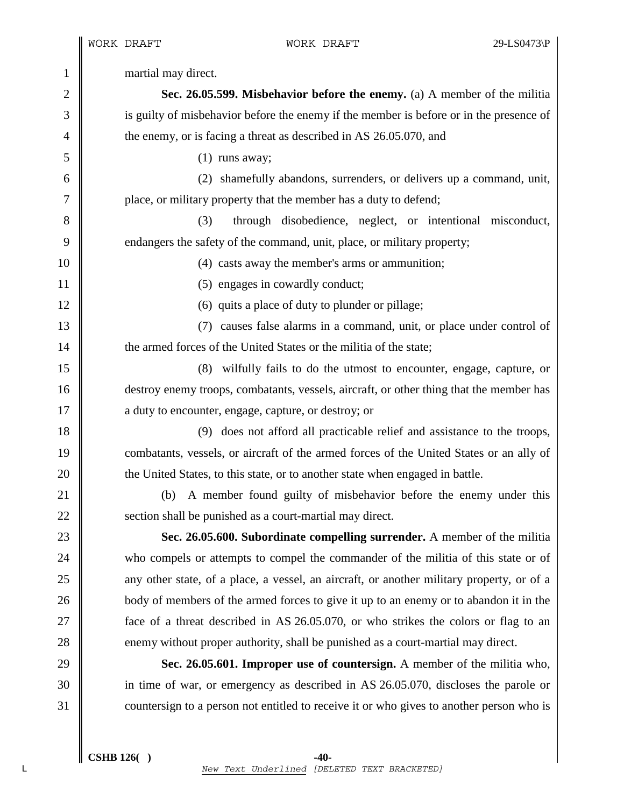1 martial may direct. 2 **Sec. 26.05.599. Misbehavior before the enemy.** (a) A member of the militia 3 is guilty of misbehavior before the enemy if the member is before or in the presence of 4 the enemy, or is facing a threat as described in AS 26.05.070, and  $5 \parallel$  (1) runs away; 6 (2) shamefully abandons, surrenders, or delivers up a command, unit, 7 place, or military property that the member has a duty to defend; 8 (3) through disobedience, neglect, or intentional misconduct, 9 cndangers the safety of the command, unit, place, or military property; 10 (4) casts away the member's arms or ammunition; 11 | (5) engages in cowardly conduct; 12  $\parallel$  (6) quits a place of duty to plunder or pillage; 13 (7) causes false alarms in a command, unit, or place under control of 14 **the armed forces of the United States or the militia of the state;** 15 (8) wilfully fails to do the utmost to encounter, engage, capture, or 16 destroy enemy troops, combatants, vessels, aircraft, or other thing that the member has 17 **a** duty to encounter, engage, capture, or destroy; or 18 (9) does not afford all practicable relief and assistance to the troops, 19 combatants, vessels, or aircraft of the armed forces of the United States or an ally of 20 **the United States, to this state, or to another state when engaged in battle.** 21 (b) A member found guilty of misbehavior before the enemy under this 22 **Section shall be punished as a court-martial may direct.** 23 **Sec. 26.05.600. Subordinate compelling surrender.** A member of the militia 24 who compels or attempts to compel the commander of the militia of this state or of 25 any other state, of a place, a vessel, an aircraft, or another military property, or of a 26 body of members of the armed forces to give it up to an enemy or to abandon it in the 27 **face** of a threat described in AS 26.05.070, or who strikes the colors or flag to an 28 enemy without proper authority, shall be punished as a court-martial may direct. 29 **Sec. 26.05.601. Improper use of countersign.** A member of the militia who, 30 in time of war, or emergency as described in AS 26.05.070, discloses the parole or 31 countersign to a person not entitled to receive it or who gives to another person who is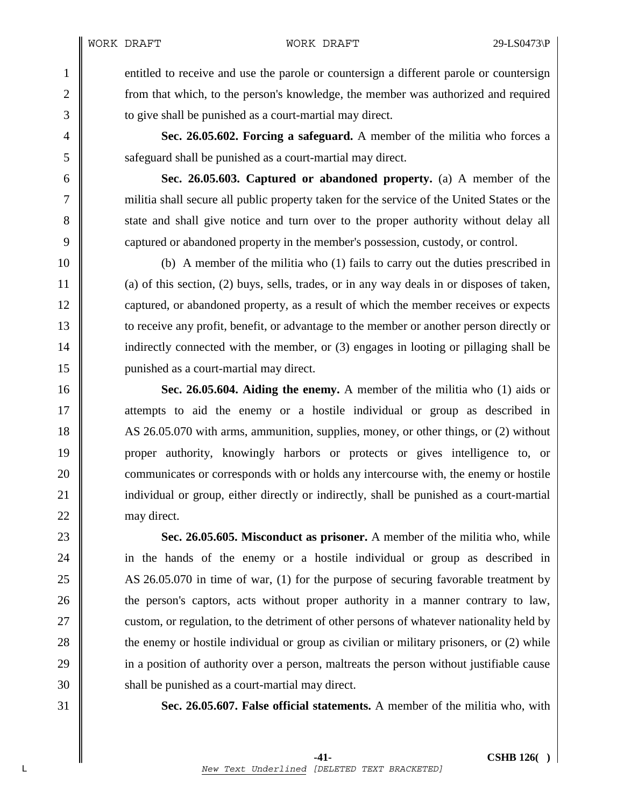1 entitled to receive and use the parole or countersign a different parole or countersign 2 from that which, to the person's knowledge, the member was authorized and required 3 **to give shall be punished as a court-martial may direct.** 

4 **Sec. 26.05.602. Forcing a safeguard.** A member of the militia who forces a 5 **S** safeguard shall be punished as a court-martial may direct.

6 **Sec. 26.05.603. Captured or abandoned property.** (a) A member of the 7 militia shall secure all public property taken for the service of the United States or the 8 state and shall give notice and turn over to the proper authority without delay all 9 captured or abandoned property in the member's possession, custody, or control.

10 (b) A member of the militia who (1) fails to carry out the duties prescribed in 11 (a) of this section, (2) buys, sells, trades, or in any way deals in or disposes of taken, 12 captured, or abandoned property, as a result of which the member receives or expects 13 to receive any profit, benefit, or advantage to the member or another person directly or 14 indirectly connected with the member, or (3) engages in looting or pillaging shall be 15 punished as a court-martial may direct.

16 **Sec. 26.05.604. Aiding the enemy.** A member of the militia who (1) aids or 17 attempts to aid the enemy or a hostile individual or group as described in 18 AS 26.05.070 with arms, ammunition, supplies, money, or other things, or (2) without 19 proper authority, knowingly harbors or protects or gives intelligence to, or 20 **communicates or corresponds with or holds any intercourse with, the enemy or hostile** 21 individual or group, either directly or indirectly, shall be punished as a court-martial 22 may direct.

23 **Sec. 26.05.605. Misconduct as prisoner.** A member of the militia who, while 24 in the hands of the enemy or a hostile individual or group as described in 25 AS 26.05.070 in time of war, (1) for the purpose of securing favorable treatment by 26 the person's captors, acts without proper authority in a manner contrary to law, 27 custom, or regulation, to the detriment of other persons of whatever nationality held by 28 the enemy or hostile individual or group as civilian or military prisoners, or (2) while 29 in a position of authority over a person, maltreats the person without justifiable cause 30 shall be punished as a court-martial may direct.

31 **Sec. 26.05.607. False official statements.** A member of the militia who, with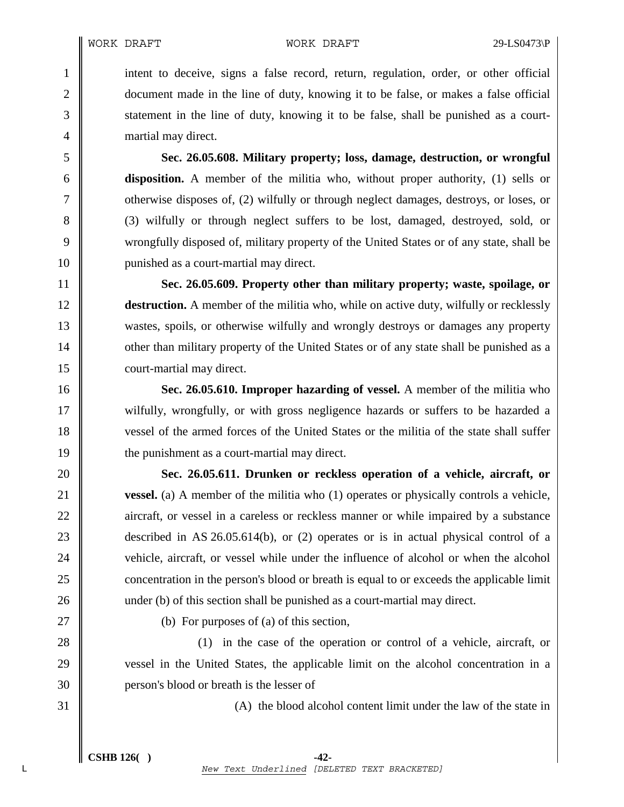1 intent to deceive, signs a false record, return, regulation, order, or other official 2 document made in the line of duty, knowing it to be false, or makes a false official 3 statement in the line of duty, knowing it to be false, shall be punished as a court-4 **martial may direct.** 

5 **Sec. 26.05.608. Military property; loss, damage, destruction, or wrongful**  6 **disposition.** A member of the militia who, without proper authority, (1) sells or 7 contract damages, destroys, or loses, or  $\vert$  otherwise disposes of, (2) wilfully or through neglect damages, destroys, or loses, or 8 (3) wilfully or through neglect suffers to be lost, damaged, destroyed, sold, or 9 wrongfully disposed of, military property of the United States or of any state, shall be 10 || punished as a court-martial may direct.

11 **Sec. 26.05.609. Property other than military property; waste, spoilage, or**  12 **destruction.** A member of the militia who, while on active duty, wilfully or recklessly 13 wastes, spoils, or otherwise wilfully and wrongly destroys or damages any property 14 other than military property of the United States or of any state shall be punished as a 15 **court-martial may direct.** 

16 **Sec. 26.05.610. Improper hazarding of vessel.** A member of the militia who 17 wilfully, wrongfully, or with gross negligence hazards or suffers to be hazarded a 18 vessel of the armed forces of the United States or the militia of the state shall suffer 19 **the punishment as a court-martial may direct.** 

20 **Sec. 26.05.611. Drunken or reckless operation of a vehicle, aircraft, or**  21 **vessel.** (a) A member of the militia who (1) operates or physically controls a vehicle, 22 aircraft, or vessel in a careless or reckless manner or while impaired by a substance 23 described in AS 26.05.614(b), or (2) operates or is in actual physical control of a 24 vehicle, aircraft, or vessel while under the influence of alcohol or when the alcohol 25 concentration in the person's blood or breath is equal to or exceeds the applicable limit 26 under (b) of this section shall be punished as a court-martial may direct.

27  $\parallel$  (b) For purposes of (a) of this section,

28 (1) in the case of the operation or control of a vehicle, aircraft, or 29 vessel in the United States, the applicable limit on the alcohol concentration in a 30 **person's blood or breath is the lesser of** 

 $31 \parallel$  (A) the blood alcohol content limit under the law of the state in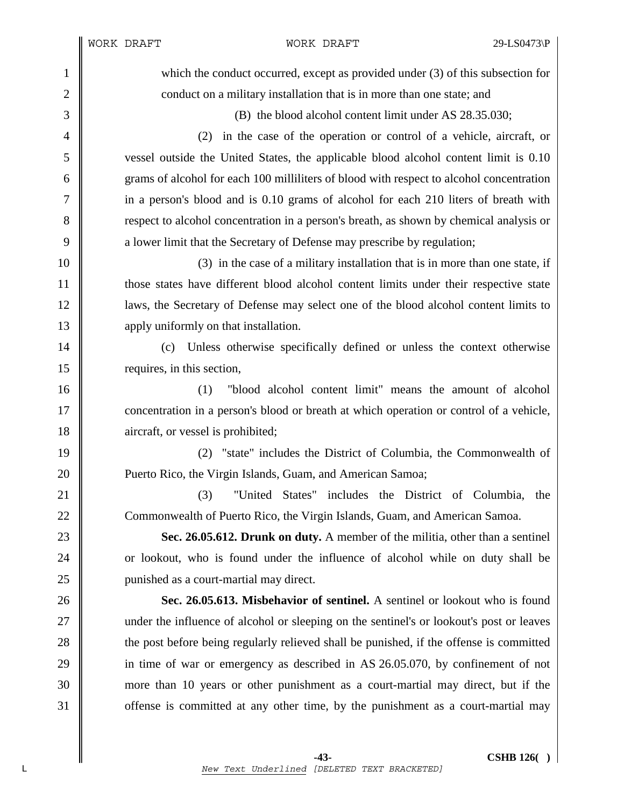WORK DRAFT WORK DRAFT 29-LS0473\P

1 which the conduct occurred, except as provided under (3) of this subsection for 2 **conduct on a military installation that is in more than one state; and** 3 (B) the blood alcohol content limit under AS 28.35.030; 4 (2) in the case of the operation or control of a vehicle, aircraft, or 5 vessel outside the United States, the applicable blood alcohol content limit is 0.10 6 grams of alcohol for each 100 milliliters of blood with respect to alcohol concentration 7 in a person's blood and is 0.10 grams of alcohol for each 210 liters of breath with 8 Supersual respect to alcohol concentration in a person's breath, as shown by chemical analysis or 9 a lower limit that the Secretary of Defense may prescribe by regulation;  $10 \parallel$  (3) in the case of a military installation that is in more than one state, if 11 those states have different blood alcohol content limits under their respective state 12 laws, the Secretary of Defense may select one of the blood alcohol content limits to 13 **apply uniformly on that installation.** 14 (c) Unless otherwise specifically defined or unless the context otherwise 15 requires, in this section, 16 (1) "blood alcohol content limit" means the amount of alcohol 17 concentration in a person's blood or breath at which operation or control of a vehicle, 18 aircraft, or vessel is prohibited; 19 (2) "state" includes the District of Columbia, the Commonwealth of 20 **Puerto Rico, the Virgin Islands, Guam, and American Samoa;** 21 **(3)** "United States" includes the District of Columbia, the 22 Commonwealth of Puerto Rico, the Virgin Islands, Guam, and American Samoa. 23 **Sec. 26.05.612. Drunk on duty.** A member of the militia, other than a sentinel 24 or lookout, who is found under the influence of alcohol while on duty shall be 25 **punished as a court-martial may direct.** 26 **Sec. 26.05.613. Misbehavior of sentinel.** A sentinel or lookout who is found 27 under the influence of alcohol or sleeping on the sentinel's or lookout's post or leaves 28 the post before being regularly relieved shall be punished, if the offense is committed 29 in time of war or emergency as described in AS 26.05.070, by confinement of not 30 more than 10 years or other punishment as a court-martial may direct, but if the 31 offense is committed at any other time, by the punishment as a court-martial may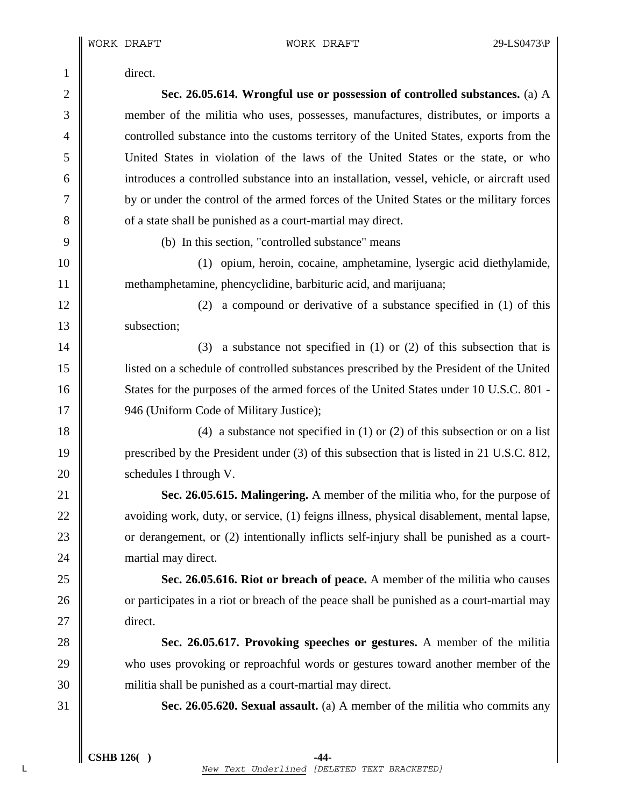1 direct.

2 **Sec. 26.05.614. Wrongful use or possession of controlled substances.** (a) A 3 member of the militia who uses, possesses, manufactures, distributes, or imports a 4 controlled substance into the customs territory of the United States, exports from the 5 United States in violation of the laws of the United States or the state, or who 6 introduces a controlled substance into an installation, vessel, vehicle, or aircraft used 7 by or under the control of the armed forces of the United States or the military forces 8 **o** of a state shall be punished as a court-martial may direct.

9 (b) In this section, "controlled substance" means

10 (1) opium, heroin, cocaine, amphetamine, lysergic acid diethylamide, 11 methamphetamine, phencyclidine, barbituric acid, and marijuana;

12 (2) a compound or derivative of a substance specified in (1) of this 13 | subsection:

14  $\parallel$  (3) a substance not specified in (1) or (2) of this subsection that is 15 listed on a schedule of controlled substances prescribed by the President of the United 16 States for the purposes of the armed forces of the United States under 10 U.S.C. 801 -17 | 946 (Uniform Code of Military Justice);

18  $\parallel$  (4) a substance not specified in (1) or (2) of this subsection or on a list 19 prescribed by the President under (3) of this subsection that is listed in 21 U.S.C. 812, 20 | schedules I through V.

21 **Sec. 26.05.615. Malingering.** A member of the militia who, for the purpose of 22 | avoiding work, duty, or service, (1) feigns illness, physical disablement, mental lapse, 23 contract 23 or derangement, or (2) intentionally inflicts self-injury shall be punished as a court-24 martial may direct.

25 **Sec. 26.05.616. Riot or breach of peace.** A member of the militia who causes 26 or participates in a riot or breach of the peace shall be punished as a court-martial may 27 | direct.

28 **Sec. 26.05.617. Provoking speeches or gestures.** A member of the militia 29 who uses provoking or reproachful words or gestures toward another member of the 30 militia shall be punished as a court-martial may direct.

31 **Sec. 26.05.620. Sexual assault.** (a) A member of the militia who commits any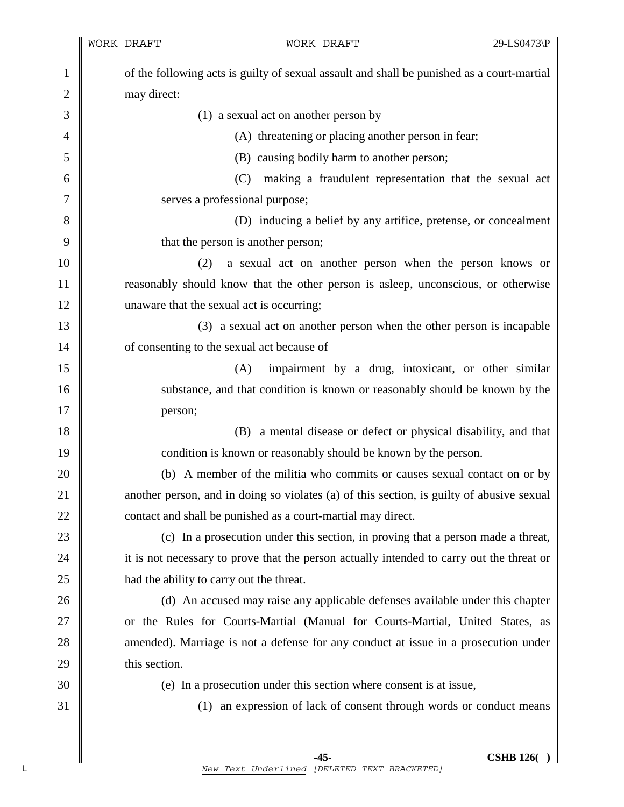1 of the following acts is guilty of sexual assault and shall be punished as a court-martial 2 | may direct: 3 || (1) a sexual act on another person by 4 (A) threatening or placing another person in fear; 5 (B) causing bodily harm to another person; 6 (C) making a fraudulent representation that the sexual act 7 || serves a professional purpose; 8 (D) inducing a belief by any artifice, pretense, or concealment 9  $\parallel$  that the person is another person; 10 (2) a sexual act on another person when the person knows or 11 reasonably should know that the other person is asleep, unconscious, or otherwise 12 | unaware that the sexual act is occurring; 13 (3) a sexual act on another person when the other person is incapable 14 **o** of consenting to the sexual act because of 15 (A) impairment by a drug, intoxicant, or other similar 16 substance, and that condition is known or reasonably should be known by the 17 person; 18 (B) a mental disease or defect or physical disability, and that 19 **condition is known or reasonably should be known by the person.** 20 (b) A member of the militia who commits or causes sexual contact on or by 21 another person, and in doing so violates (a) of this section, is guilty of abusive sexual 22 contact and shall be punished as a court-martial may direct. 23 (c) In a prosecution under this section, in proving that a person made a threat, 24 it is not necessary to prove that the person actually intended to carry out the threat or 25 **had the ability to carry out the threat.** 26 (d) An accused may raise any applicable defenses available under this chapter 27 | or the Rules for Courts-Martial (Manual for Courts-Martial, United States, as 28 amended). Marriage is not a defense for any conduct at issue in a prosecution under  $29$   $\parallel$  this section. 30 (e) In a prosecution under this section where consent is at issue, 31 (1) an expression of lack of consent through words or conduct means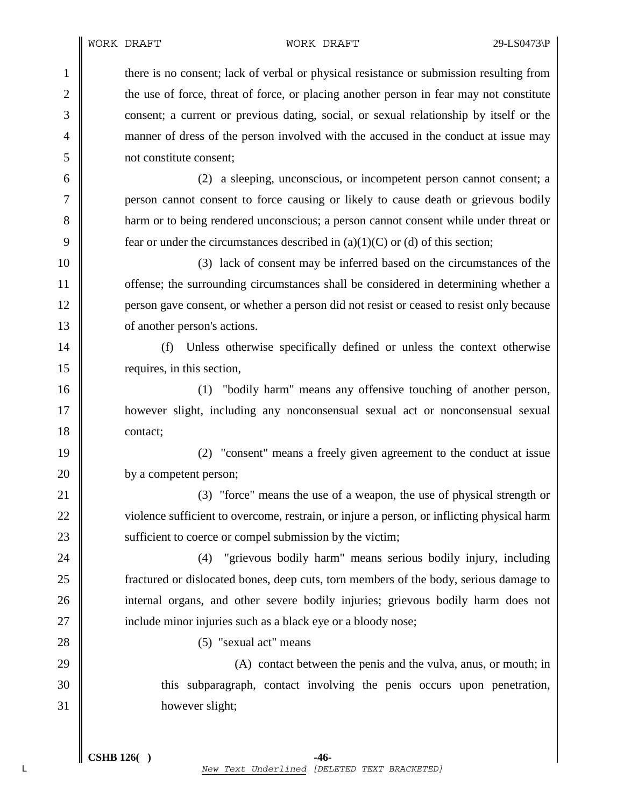WORK DRAFT WORK DRAFT 29-LS0473\P

1 there is no consent; lack of verbal or physical resistance or submission resulting from 2 the use of force, threat of force, or placing another person in fear may not constitute 3 consent; a current or previous dating, social, or sexual relationship by itself or the 4 manner of dress of the person involved with the accused in the conduct at issue may 5 not constitute consent;

6 (2) a sleeping, unconscious, or incompetent person cannot consent; a 7 person cannot consent to force causing or likely to cause death or grievous bodily 8 **harm** or to being rendered unconscious; a person cannot consent while under threat or 9 fear or under the circumstances described in  $(a)(1)(C)$  or (d) of this section;

10 (3) lack of consent may be inferred based on the circumstances of the **offense**; the surrounding circumstances shall be considered in determining whether a **person gave consent, or whether a person did not resist or ceased to resist only because o** of another person's actions.

14 (f) Unless otherwise specifically defined or unless the context otherwise 15 | requires, in this section,

16 **(1)** "bodily harm" means any offensive touching of another person, 17 however slight, including any nonconsensual sexual act or nonconsensual sexual 18 contact;

19 (2) "consent" means a freely given agreement to the conduct at issue 20 by a competent person;

21 (3) "force" means the use of a weapon, the use of physical strength or 22 violence sufficient to overcome, restrain, or injure a person, or inflicting physical harm 23 Sufficient to coerce or compel submission by the victim;

24 (4) "grievous bodily harm" means serious bodily injury, including **f** can islocated bones, deep cuts, torn members of the body, serious damage to **internal organs, and other severe bodily injuries; grievous bodily harm does not include minor injuries such as a black eye or a bloody nose;** 

28 (5) "sexual act" means

29  $\parallel$  (A) contact between the penis and the vulva, anus, or mouth; in 30 this subparagraph, contact involving the penis occurs upon penetration, 31 however slight;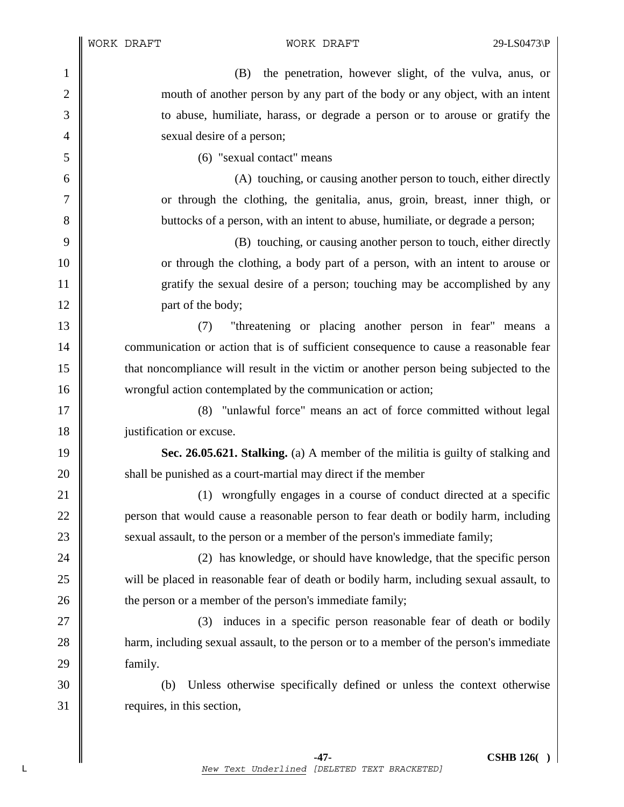1 (B) the penetration, however slight, of the vulva, anus, or 2 mouth of another person by any part of the body or any object, with an intent 3 to abuse, humiliate, harass, or degrade a person or to arouse or gratify the 4 Sexual desire of a person; 5 (6) "sexual contact" means 6 (A) touching, or causing another person to touch, either directly 7 or through the clothing, the genitalia, anus, groin, breast, inner thigh, or 8 buttocks of a person, with an intent to abuse, humiliate, or degrade a person; 9 (B) touching, or causing another person to touch, either directly 10 or through the clothing, a body part of a person, with an intent to arouse or 11 gratify the sexual desire of a person; touching may be accomplished by any 12 **part of the body**; 13 (7) "threatening or placing another person in fear" means a 14 **communication** or action that is of sufficient consequence to cause a reasonable fear 15 that noncompliance will result in the victim or another person being subjected to the 16 wrongful action contemplated by the communication or action; 17 (8) "unlawful force" means an act of force committed without legal 18 | justification or excuse. 19 **Sec. 26.05.621. Stalking.** (a) A member of the militia is guilty of stalking and 20 **shall be punished as a court-martial may direct if the member** 21 (1) wrongfully engages in a course of conduct directed at a specific 22 **person that would cause a reasonable person to fear death or bodily harm, including** 23 Sexual assault, to the person or a member of the person's immediate family; 24 **(2)** has knowledge, or should have knowledge, that the specific person 25 will be placed in reasonable fear of death or bodily harm, including sexual assault, to 26 **the person or a member of the person's immediate family;** 27 || (3) induces in a specific person reasonable fear of death or bodily 28 **harm, including sexual assault, to the person or to a member of the person's immediate** 29 **family.** 30 (b) Unless otherwise specifically defined or unless the context otherwise  $31$  requires, in this section,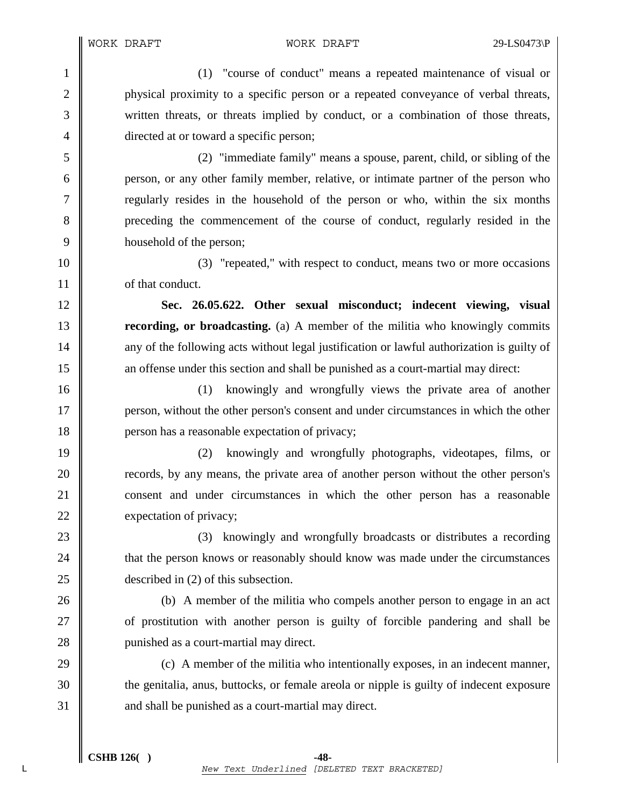WORK DRAFT WORK DRAFT 29-LS0473\P

1 (1) "course of conduct" means a repeated maintenance of visual or 2 physical proximity to a specific person or a repeated conveyance of verbal threats, 3 written threats, or threats implied by conduct, or a combination of those threats, 4 directed at or toward a specific person;

5 (2) "immediate family" means a spouse, parent, child, or sibling of the 6 person, or any other family member, relative, or intimate partner of the person who 7 T regularly resides in the household of the person or who, within the six months 8 preceding the commencement of the course of conduct, regularly resided in the 9 household of the person;

10 (3) "repeated," with respect to conduct, means two or more occasions 11 **decision** of that conduct.

12 **Sec. 26.05.622. Other sexual misconduct; indecent viewing, visual**  13 **recording, or broadcasting.** (a) A member of the militia who knowingly commits 14 any of the following acts without legal justification or lawful authorization is guilty of 15 an offense under this section and shall be punished as a court-martial may direct:

16 (1) knowingly and wrongfully views the private area of another 17 person, without the other person's consent and under circumstances in which the other 18 **person has a reasonable expectation of privacy;** 

19 (2) knowingly and wrongfully photographs, videotapes, films, or 20 **records**, by any means, the private area of another person without the other person's 21 **consent and under circumstances in which the other person has a reasonable** 22 expectation of privacy;

23 **(3)** knowingly and wrongfully broadcasts or distributes a recording 24 **that the person knows or reasonably should know was made under the circumstances** 25 described in (2) of this subsection.

26 (b) A member of the militia who compels another person to engage in an act 27 **or** of prostitution with another person is guilty of forcible pandering and shall be 28 **punished as a court-martial may direct.** 

29  $\parallel$  (c) A member of the militia who intentionally exposes, in an indecent manner, 30 the genitalia, anus, buttocks, or female areola or nipple is guilty of indecent exposure 31 and shall be punished as a court-martial may direct.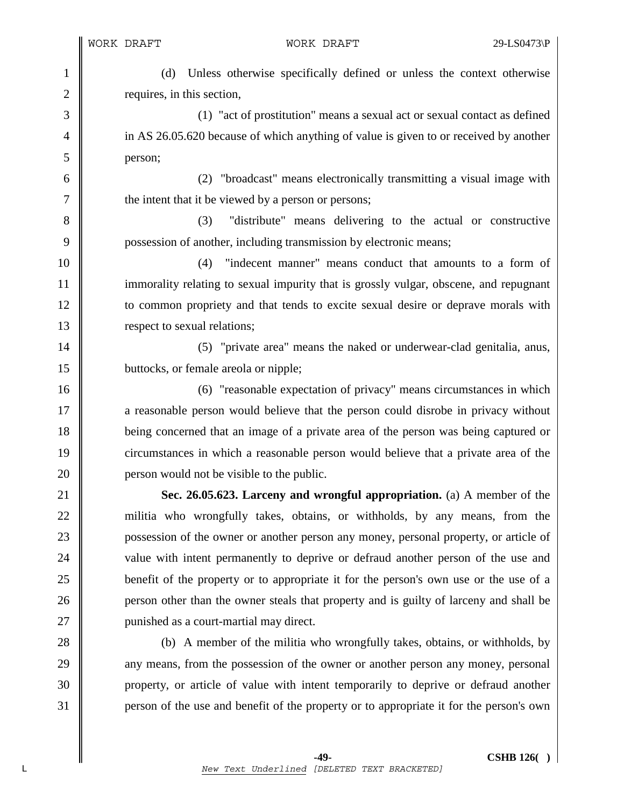1 (d) Unless otherwise specifically defined or unless the context otherwise 2 | requires, in this section,

3 (1) "act of prostitution" means a sexual act or sexual contact as defined <sup>4</sup> in AS 26.05.620 because of which anything of value is given to or received by another 5 person;

6 (2) "broadcast" means electronically transmitting a visual image with 7 | the intent that it be viewed by a person or persons;

8 (3) "distribute" means delivering to the actual or constructive 9 possession of another, including transmission by electronic means;

10 (4) "indecent manner" means conduct that amounts to a form of 11 immorality relating to sexual impurity that is grossly vulgar, obscene, and repugnant 12 to common propriety and that tends to excite sexual desire or deprave morals with 13 **Solution** respect to sexual relations;

14 | (5) "private area" means the naked or underwear-clad genitalia, anus, 15 **buttocks**, or female areola or nipple;

16 (6) Treasonable expectation of privacy" means circumstances in which 17 **a** reasonable person would believe that the person could disrobe in privacy without 18 **being concerned that an image of a private area of the person was being captured or** 19 circumstances in which a reasonable person would believe that a private area of the 20 **person would not be visible to the public.** 

21 **Sec. 26.05.623. Larceny and wrongful appropriation.** (a) A member of the 22 militia who wrongfully takes, obtains, or withholds, by any means, from the 23 **possession of the owner or another person any money, personal property, or article of** 24 value with intent permanently to deprive or defraud another person of the use and 25 **benefit of the property or to appropriate it for the person's own use or the use of a** 26 **person other than the owner steals that property and is guilty of larceny and shall be** 27 | punished as a court-martial may direct.

28 (b) A member of the militia who wrongfully takes, obtains, or withholds, by 29 any means, from the possession of the owner or another person any money, personal 30 property, or article of value with intent temporarily to deprive or defraud another 31 person of the use and benefit of the property or to appropriate it for the person's own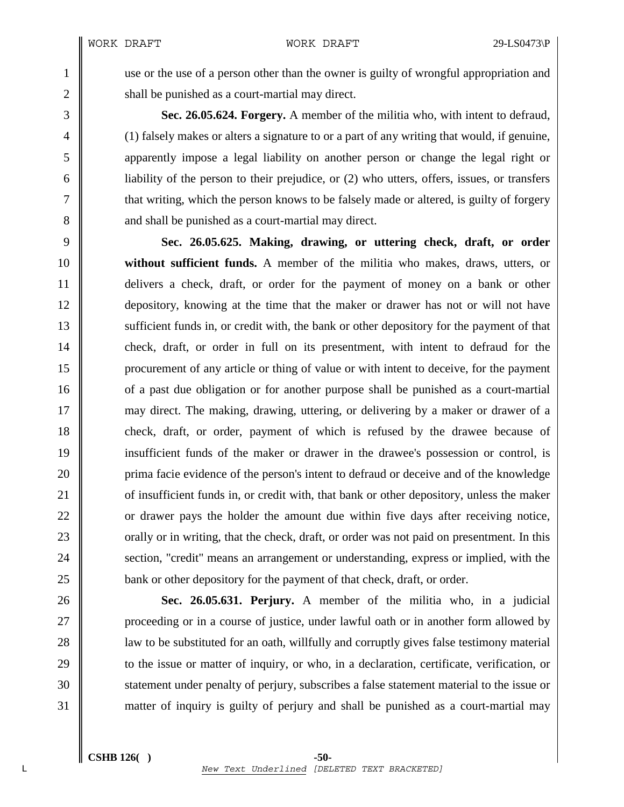1 use or the use of a person other than the owner is guilty of wrongful appropriation and 2  $\parallel$  shall be punished as a court-martial may direct.

3 **Sec. 26.05.624. Forgery.** A member of the militia who, with intent to defraud, 4 (1) falsely makes or alters a signature to or a part of any writing that would, if genuine, 5 apparently impose a legal liability on another person or change the legal right or  $6 \parallel$  liability of the person to their prejudice, or (2) who utters, offers, issues, or transfers 7 that writing, which the person knows to be falsely made or altered, is guilty of forgery 8 and shall be punished as a court-martial may direct.

9 **Sec. 26.05.625. Making, drawing, or uttering check, draft, or order**  10 **without sufficient funds.** A member of the militia who makes, draws, utters, or 11 delivers a check, draft, or order for the payment of money on a bank or other 12 depository, knowing at the time that the maker or drawer has not or will not have 13 Sufficient funds in, or credit with, the bank or other depository for the payment of that 14 check, draft, or order in full on its presentment, with intent to defraud for the 15 procurement of any article or thing of value or with intent to deceive, for the payment 16 of a past due obligation or for another purpose shall be punished as a court-martial 17 may direct. The making, drawing, uttering, or delivering by a maker or drawer of a 18 check, draft, or order, payment of which is refused by the drawee because of 19 insufficient funds of the maker or drawer in the drawee's possession or control, is 20 prima facie evidence of the person's intent to defraud or deceive and of the knowledge 21 of insufficient funds in, or credit with, that bank or other depository, unless the maker 22 or drawer pays the holder the amount due within five days after receiving notice, 23 corally or in writing, that the check, draft, or order was not paid on presentment. In this 24 **Section, "credit" means an arrangement or understanding, express or implied, with the** 25 **bank** or other depository for the payment of that check, draft, or order.

26 **Sec. 26.05.631. Perjury.** A member of the militia who, in a judicial 27 **proceeding or in a course of justice, under lawful oath or in another form allowed by** 28 **lack** law to be substituted for an oath, willfully and corruptly gives false testimony material 29 to the issue or matter of inquiry, or who, in a declaration, certificate, verification, or 30 statement under penalty of perjury, subscribes a false statement material to the issue or 31 matter of inquiry is guilty of perjury and shall be punished as a court-martial may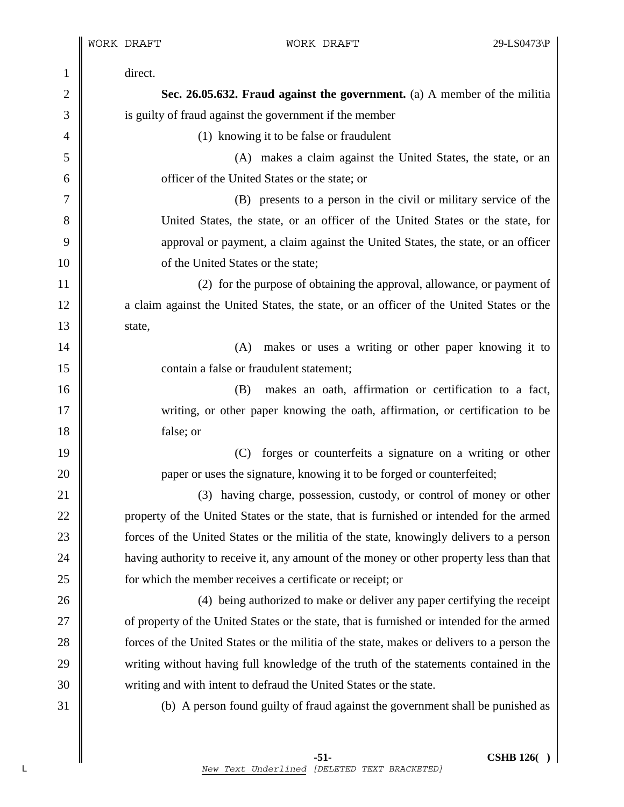I

| $\mathbf{1}$   | direct.                                                                                    |
|----------------|--------------------------------------------------------------------------------------------|
| $\mathbf{2}$   | Sec. 26.05.632. Fraud against the government. (a) A member of the militia                  |
| 3              | is guilty of fraud against the government if the member                                    |
| $\overline{4}$ | (1) knowing it to be false or fraudulent                                                   |
| 5              | (A) makes a claim against the United States, the state, or an                              |
| 6              | officer of the United States or the state; or                                              |
| 7              | (B) presents to a person in the civil or military service of the                           |
| 8              | United States, the state, or an officer of the United States or the state, for             |
| 9              | approval or payment, a claim against the United States, the state, or an officer           |
| 10             | of the United States or the state;                                                         |
| 11             | (2) for the purpose of obtaining the approval, allowance, or payment of                    |
| 12             | a claim against the United States, the state, or an officer of the United States or the    |
| 13             | state,                                                                                     |
| 14             | makes or uses a writing or other paper knowing it to<br>(A)                                |
| 15             | contain a false or fraudulent statement;                                                   |
| 16             | makes an oath, affirmation or certification to a fact,<br>(B)                              |
| 17             | writing, or other paper knowing the oath, affirmation, or certification to be              |
| 18             | false; or                                                                                  |
| 19             | forges or counterfeits a signature on a writing or other<br>(C)                            |
| 20             | paper or uses the signature, knowing it to be forged or counterfeited;                     |
| 21             | (3) having charge, possession, custody, or control of money or other                       |
| 22             | property of the United States or the state, that is furnished or intended for the armed    |
| 23             | forces of the United States or the militia of the state, knowingly delivers to a person    |
| 24             | having authority to receive it, any amount of the money or other property less than that   |
| 25             | for which the member receives a certificate or receipt; or                                 |
| 26             | (4) being authorized to make or deliver any paper certifying the receipt                   |
| 27             | of property of the United States or the state, that is furnished or intended for the armed |
| 28             | forces of the United States or the militia of the state, makes or delivers to a person the |
| 29             | writing without having full knowledge of the truth of the statements contained in the      |
| 30             | writing and with intent to defraud the United States or the state.                         |
| 31             | (b) A person found guilty of fraud against the government shall be punished as             |
|                |                                                                                            |
|                |                                                                                            |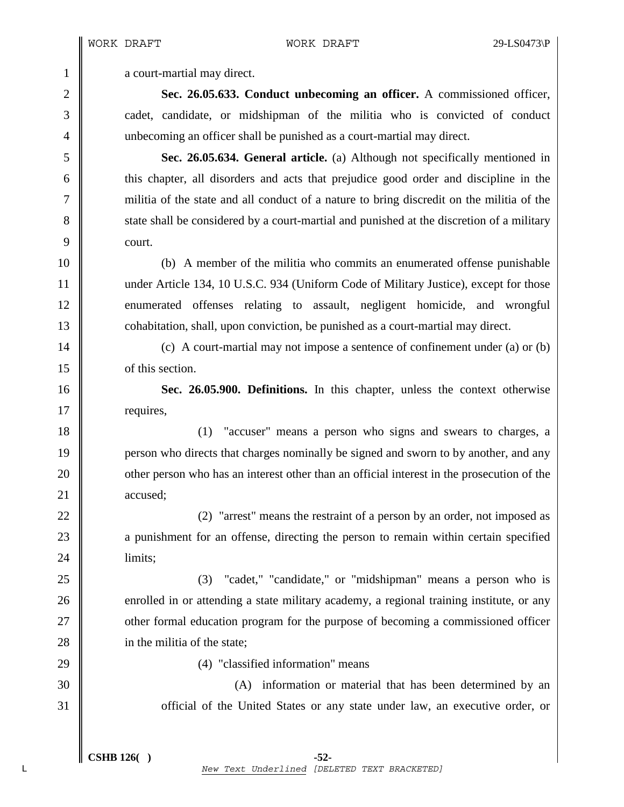1 **a** court-martial may direct.

2 **Sec. 26.05.633. Conduct unbecoming an officer.** A commissioned officer, 3 cadet, candidate, or midshipman of the militia who is convicted of conduct 4 unbecoming an officer shall be punished as a court-martial may direct.

5 **Sec. 26.05.634. General article.** (a) Although not specifically mentioned in 6 this chapter, all disorders and acts that prejudice good order and discipline in the 7 militia of the state and all conduct of a nature to bring discredit on the militia of the 8 state shall be considered by a court-martial and punished at the discretion of a military 9 court.

10 (b) A member of the militia who commits an enumerated offense punishable 11 | under Article 134, 10 U.S.C. 934 (Uniform Code of Military Justice), except for those 12 enumerated offenses relating to assault, negligent homicide, and wrongful 13 cohabitation, shall, upon conviction, be punished as a court-martial may direct.

14 (c) A court-martial may not impose a sentence of confinement under (a) or (b) 15 **I** of this section.

16 **Sec. 26.05.900. Definitions.** In this chapter, unless the context otherwise 17 | requires,

18 (1) "accuser" means a person who signs and swears to charges, a 19 **person** who directs that charges nominally be signed and sworn to by another, and any 20 **our** other person who has an interest other than an official interest in the prosecution of the 21 accused:

22  $\parallel$  (2) "arrest" means the restraint of a person by an order, not imposed as 23 a punishment for an offense, directing the person to remain within certain specified 24 | limits;

25 (3) cadet, "candidate," or "midshipman" means a person who is 26 enrolled in or attending a state military academy, a regional training institute, or any 27 **other formal education program for the purpose of becoming a commissioned officer** 28 **ight** 28 in the militia of the state:

29 || (4) "classified information" means

30 (A) information or material that has been determined by an 31 **S** official of the United States or any state under law, an executive order, or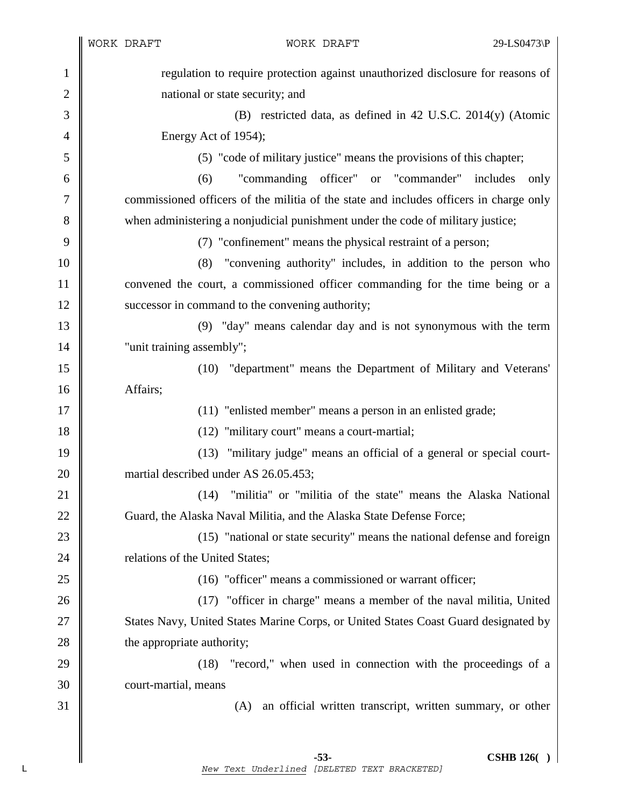|                | WORK DRAFT                                                                             | WORK DRAFT                                                                          | 29-LS0473\P |
|----------------|----------------------------------------------------------------------------------------|-------------------------------------------------------------------------------------|-------------|
| $\mathbf{1}$   | regulation to require protection against unauthorized disclosure for reasons of        |                                                                                     |             |
| $\mathbf{2}$   | national or state security; and                                                        |                                                                                     |             |
| 3              | (B) restricted data, as defined in 42 U.S.C. 2014(y) (Atomic                           |                                                                                     |             |
| $\overline{4}$ | Energy Act of 1954);                                                                   |                                                                                     |             |
| 5              | (5) "code of military justice" means the provisions of this chapter;                   |                                                                                     |             |
| 6              | "commanding officer" or "commander" includes<br>(6)<br>only                            |                                                                                     |             |
| 7              | commissioned officers of the militia of the state and includes officers in charge only |                                                                                     |             |
| 8              | when administering a nonjudicial punishment under the code of military justice;        |                                                                                     |             |
| 9              |                                                                                        | (7) "confinement" means the physical restraint of a person;                         |             |
| 10             | "convening authority" includes, in addition to the person who<br>(8)                   |                                                                                     |             |
| 11             | convened the court, a commissioned officer commanding for the time being or a          |                                                                                     |             |
| 12             | successor in command to the convening authority;                                       |                                                                                     |             |
| 13             |                                                                                        | (9) "day" means calendar day and is not synonymous with the term                    |             |
| 14             | "unit training assembly";                                                              |                                                                                     |             |
| 15             |                                                                                        | (10) "department" means the Department of Military and Veterans'                    |             |
| 16             | Affairs;                                                                               |                                                                                     |             |
| 17             |                                                                                        | (11) "enlisted member" means a person in an enlisted grade;                         |             |
| 18             |                                                                                        | (12) "military court" means a court-martial;                                        |             |
| 19             |                                                                                        | (13) "military judge" means an official of a general or special court-              |             |
| 20             |                                                                                        | martial described under AS 26.05.453;                                               |             |
| 21             |                                                                                        | "militia" or "militia of the state" means the Alaska National<br>(14)               |             |
| 22             |                                                                                        | Guard, the Alaska Naval Militia, and the Alaska State Defense Force;                |             |
| 23             |                                                                                        | (15) "national or state security" means the national defense and foreign            |             |
| 24             | relations of the United States;                                                        |                                                                                     |             |
| 25             |                                                                                        | (16) "officer" means a commissioned or warrant officer;                             |             |
| 26             |                                                                                        | (17) "officer in charge" means a member of the naval militia, United                |             |
| 27             |                                                                                        | States Navy, United States Marine Corps, or United States Coast Guard designated by |             |
| 28             | the appropriate authority;                                                             |                                                                                     |             |
| 29             |                                                                                        | "record," when used in connection with the proceedings of a<br>(18)                 |             |
| 30<br>31       | court-martial, means                                                                   |                                                                                     |             |
|                |                                                                                        | an official written transcript, written summary, or other<br>(A)                    |             |
|                |                                                                                        |                                                                                     |             |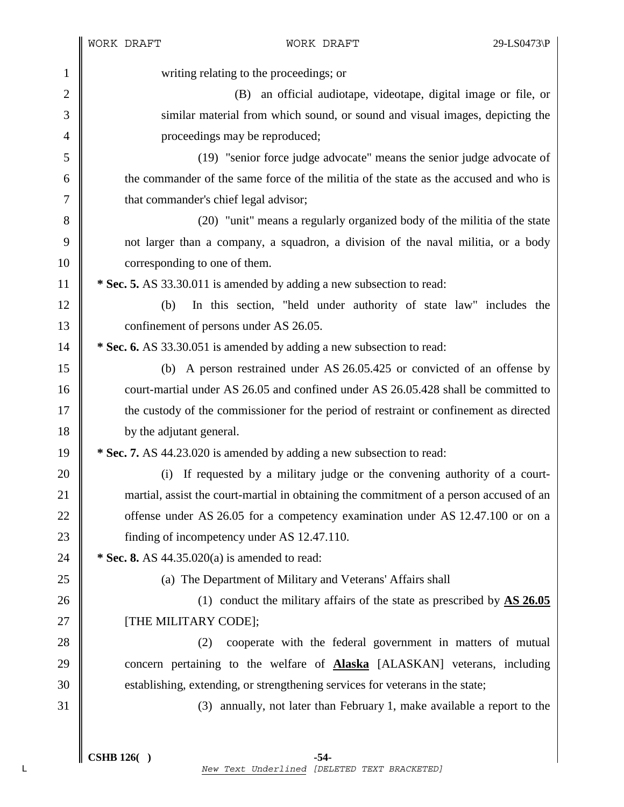|                | WORK DRAFT                                                               | WORK DRAFT                                                                              | 29-LS0473\P |
|----------------|--------------------------------------------------------------------------|-----------------------------------------------------------------------------------------|-------------|
| $\mathbf{1}$   |                                                                          | writing relating to the proceedings; or                                                 |             |
| $\overline{2}$ |                                                                          | (B)<br>an official audiotape, videotape, digital image or file, or                      |             |
| 3              |                                                                          | similar material from which sound, or sound and visual images, depicting the            |             |
| $\overline{4}$ |                                                                          | proceedings may be reproduced;                                                          |             |
| 5              |                                                                          | (19) "senior force judge advocate" means the senior judge advocate of                   |             |
| 6              |                                                                          | the commander of the same force of the militia of the state as the accused and who is   |             |
| 7              | that commander's chief legal advisor;                                    |                                                                                         |             |
| 8              | (20) "unit" means a regularly organized body of the militia of the state |                                                                                         |             |
| 9              |                                                                          | not larger than a company, a squadron, a division of the naval militia, or a body       |             |
| 10             | corresponding to one of them.                                            |                                                                                         |             |
| 11             |                                                                          | * Sec. 5. AS 33.30.011 is amended by adding a new subsection to read:                   |             |
| 12             | (b)                                                                      | In this section, "held under authority of state law" includes the                       |             |
| 13             | confinement of persons under AS 26.05.                                   |                                                                                         |             |
| 14             | * Sec. 6. AS 33.30.051 is amended by adding a new subsection to read:    |                                                                                         |             |
| 15             |                                                                          | (b) A person restrained under AS 26.05.425 or convicted of an offense by                |             |
| 16             |                                                                          | court-martial under AS 26.05 and confined under AS 26.05.428 shall be committed to      |             |
| 17             |                                                                          | the custody of the commissioner for the period of restraint or confinement as directed  |             |
| 18             | by the adjutant general.                                                 |                                                                                         |             |
| 19             |                                                                          | * Sec. 7. AS 44.23.020 is amended by adding a new subsection to read:                   |             |
| 20             | (i)                                                                      | If requested by a military judge or the convening authority of a court-                 |             |
| 21             |                                                                          | martial, assist the court-martial in obtaining the commitment of a person accused of an |             |
| 22             |                                                                          | offense under AS 26.05 for a competency examination under AS 12.47.100 or on a          |             |
| 23             | finding of incompetency under AS 12.47.110.                              |                                                                                         |             |
| 24             |                                                                          | * Sec. 8. AS $44.35.020(a)$ is amended to read:                                         |             |
| 25             |                                                                          | (a) The Department of Military and Veterans' Affairs shall                              |             |
| 26             |                                                                          | (1) conduct the military affairs of the state as prescribed by $\overline{AS\ 26.05}$   |             |
| 27             | [THE MILITARY CODE];                                                     |                                                                                         |             |
| 28             |                                                                          | cooperate with the federal government in matters of mutual<br>(2)                       |             |
| 29             |                                                                          | concern pertaining to the welfare of <b>Alaska</b> [ALASKAN] veterans, including        |             |
| 30             |                                                                          | establishing, extending, or strengthening services for veterans in the state;           |             |
| 31             |                                                                          | (3) annually, not later than February 1, make available a report to the                 |             |
|                |                                                                          |                                                                                         |             |
|                |                                                                          |                                                                                         |             |